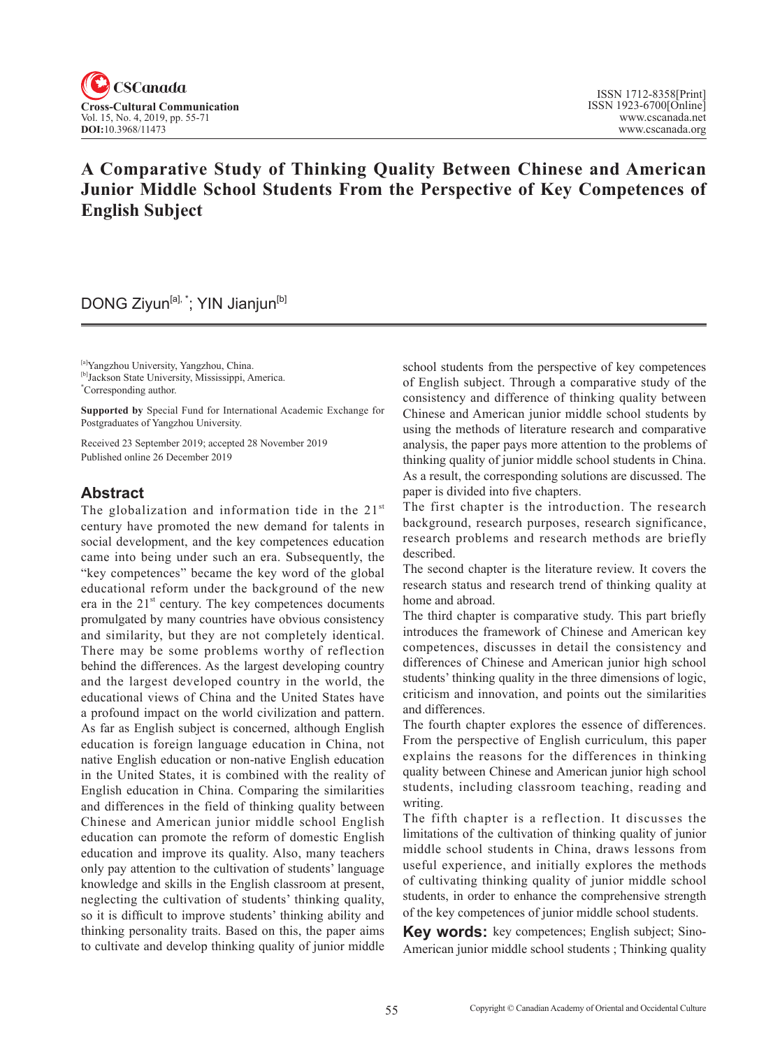

# **A Comparative Study of Thinking Quality Between Chinese and American Junior Middle School Students From the Perspective of Key Competences of English Subject**

# DONG Ziyun<sup>[a],\*</sup>; YIN Jianjun<sup>[b]</sup>

[a]Yangzhou University, Yangzhou, China.

**Supported by** Special Fund for International Academic Exchange for Postgraduates of Yangzhou University.

Received 23 September 2019; accepted 28 November 2019 Published online 26 December 2019

## **Abstract**

The globalization and information tide in the  $21<sup>st</sup>$ century have promoted the new demand for talents in social development, and the key competences education came into being under such an era. Subsequently, the "key competences" became the key word of the global educational reform under the background of the new era in the  $21<sup>st</sup>$  century. The key competences documents promulgated by many countries have obvious consistency and similarity, but they are not completely identical. There may be some problems worthy of reflection behind the differences. As the largest developing country and the largest developed country in the world, the educational views of China and the United States have a profound impact on the world civilization and pattern. As far as English subject is concerned, although English education is foreign language education in China, not native English education or non-native English education in the United States, it is combined with the reality of English education in China. Comparing the similarities and differences in the field of thinking quality between Chinese and American junior middle school English education can promote the reform of domestic English education and improve its quality. Also, many teachers only pay attention to the cultivation of students' language knowledge and skills in the English classroom at present, neglecting the cultivation of students' thinking quality, so it is difficult to improve students' thinking ability and thinking personality traits. Based on this, the paper aims to cultivate and develop thinking quality of junior middle

school students from the perspective of key competences of English subject. Through a comparative study of the consistency and difference of thinking quality between Chinese and American junior middle school students by using the methods of literature research and comparative analysis, the paper pays more attention to the problems of thinking quality of junior middle school students in China. As a result, the corresponding solutions are discussed. The paper is divided into five chapters.

The first chapter is the introduction. The research background, research purposes, research significance, research problems and research methods are briefly described.

The second chapter is the literature review. It covers the research status and research trend of thinking quality at home and abroad.

The third chapter is comparative study. This part briefly introduces the framework of Chinese and American key competences, discusses in detail the consistency and differences of Chinese and American junior high school students' thinking quality in the three dimensions of logic, criticism and innovation, and points out the similarities and differences.

The fourth chapter explores the essence of differences. From the perspective of English curriculum, this paper explains the reasons for the differences in thinking quality between Chinese and American junior high school students, including classroom teaching, reading and writing.

The fifth chapter is a reflection. It discusses the limitations of the cultivation of thinking quality of junior middle school students in China, draws lessons from useful experience, and initially explores the methods of cultivating thinking quality of junior middle school students, in order to enhance the comprehensive strength of the key competences of junior middle school students.

**Key words:** key competences; English subject; Sino-American junior middle school students; Thinking quality

<sup>[</sup>b]Jackson State University, Mississippi, America.

<sup>\*</sup> Corresponding author.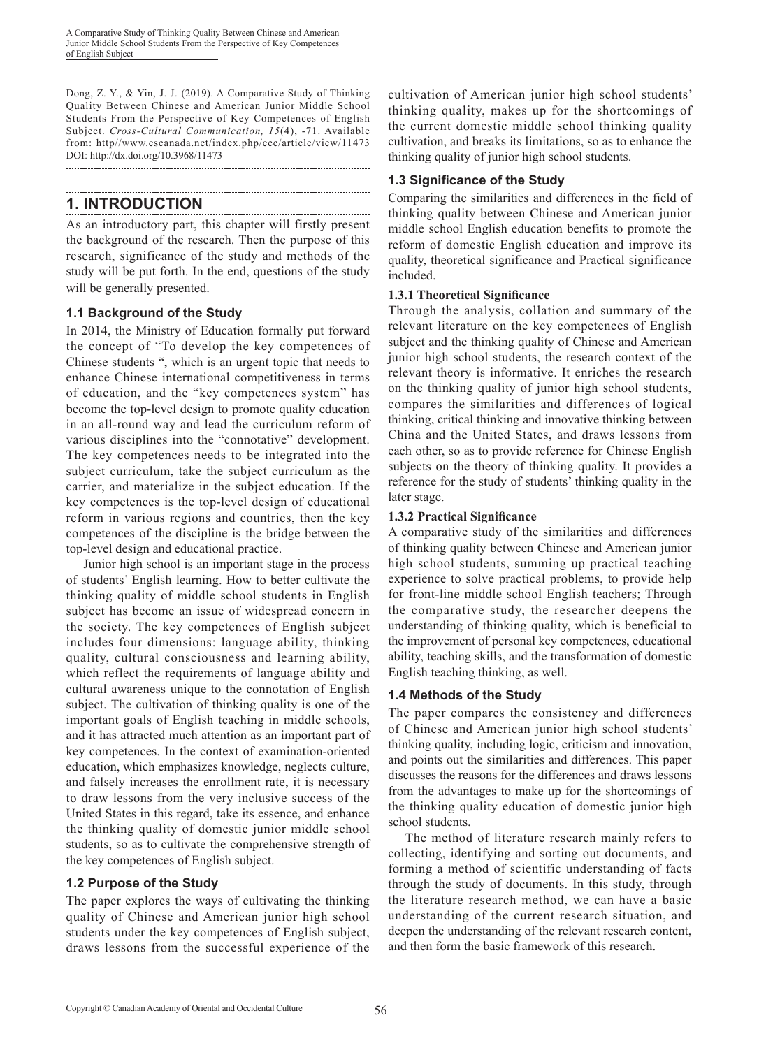Dong, Z. Y., & Yin, J. J. (2019). A Comparative Study of Thinking Quality Between Chinese and American Junior Middle School Students From the Perspective of Key Competences of English Subject. *Cross-Cultural Communication, 15*(4), -71. Available from: http//www.cscanada.net/index.php/ccc/article/view/11473 DOI: http://dx.doi.org/10.3968/11473 

#### **1. INTRODUCTION**

As an introductory part, this chapter will firstly present the background of the research. Then the purpose of this research, significance of the study and methods of the study will be put forth. In the end, questions of the study will be generally presented.

## **1.1 Background of the Study**

In 2014, the Ministry of Education formally put forward the concept of "To develop the key competences of Chinese students ", which is an urgent topic that needs to enhance Chinese international competitiveness in terms of education, and the "key competences system" has become the top-level design to promote quality education in an all-round way and lead the curriculum reform of various disciplines into the "connotative" development. The key competences needs to be integrated into the subject curriculum, take the subject curriculum as the carrier, and materialize in the subject education. If the key competences is the top-level design of educational reform in various regions and countries, then the key competences of the discipline is the bridge between the top-level design and educational practice.

Junior high school is an important stage in the process of students' English learning. How to better cultivate the thinking quality of middle school students in English subject has become an issue of widespread concern in the society. The key competences of English subject includes four dimensions: language ability, thinking quality, cultural consciousness and learning ability, which reflect the requirements of language ability and cultural awareness unique to the connotation of English subject. The cultivation of thinking quality is one of the important goals of English teaching in middle schools, and it has attracted much attention as an important part of key competences. In the context of examination-oriented education, which emphasizes knowledge, neglects culture, and falsely increases the enrollment rate, it is necessary to draw lessons from the very inclusive success of the United States in this regard, take its essence, and enhance the thinking quality of domestic junior middle school students, so as to cultivate the comprehensive strength of the key competences of English subject.

## **1.2 Purpose of the Study**

The paper explores the ways of cultivating the thinking quality of Chinese and American junior high school students under the key competences of English subject, draws lessons from the successful experience of the cultivation of American junior high school students' thinking quality, makes up for the shortcomings of the current domestic middle school thinking quality cultivation, and breaks its limitations, so as to enhance the thinking quality of junior high school students.

## **1.3 Significance of the Study**

Comparing the similarities and differences in the field of thinking quality between Chinese and American junior middle school English education benefits to promote the reform of domestic English education and improve its quality, theoretical significance and Practical significance included.

### **1.3.1 Theoretical Significance**

Through the analysis, collation and summary of the relevant literature on the key competences of English subject and the thinking quality of Chinese and American junior high school students, the research context of the relevant theory is informative. It enriches the research on the thinking quality of junior high school students, compares the similarities and differences of logical thinking, critical thinking and innovative thinking between China and the United States, and draws lessons from each other, so as to provide reference for Chinese English subjects on the theory of thinking quality. It provides a reference for the study of students' thinking quality in the later stage.

### **1.3.2 Practical Significance**

A comparative study of the similarities and differences of thinking quality between Chinese and American junior high school students, summing up practical teaching experience to solve practical problems, to provide help for front-line middle school English teachers; Through the comparative study, the researcher deepens the understanding of thinking quality, which is beneficial to the improvement of personal key competences, educational ability, teaching skills, and the transformation of domestic English teaching thinking, as well.

## **1.4 Methods of the Study**

The paper compares the consistency and differences of Chinese and American junior high school students' thinking quality, including logic, criticism and innovation, and points out the similarities and differences. This paper discusses the reasons for the differences and draws lessons from the advantages to make up for the shortcomings of the thinking quality education of domestic junior high school students.

The method of literature research mainly refers to collecting, identifying and sorting out documents, and forming a method of scientific understanding of facts through the study of documents. In this study, through the literature research method, we can have a basic understanding of the current research situation, and deepen the understanding of the relevant research content, and then form the basic framework of this research.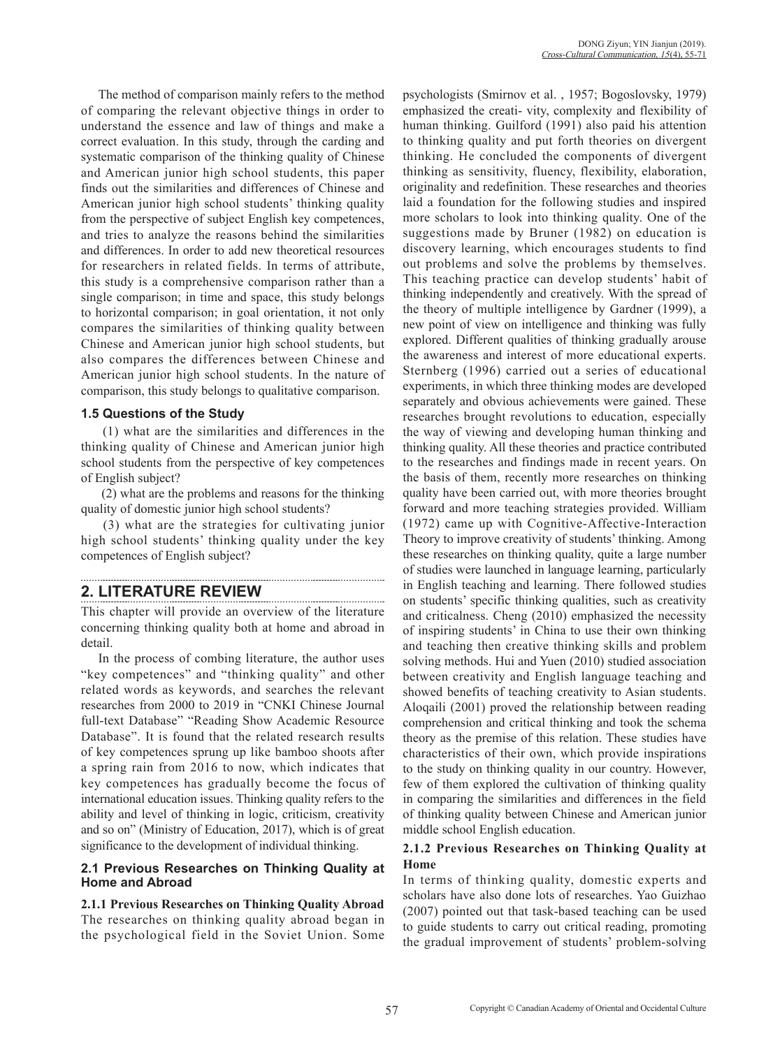The method of comparison mainly refers to the method of comparing the relevant objective things in order to understand the essence and law of things and make a correct evaluation. In this study, through the carding and systematic comparison of the thinking quality of Chinese and American junior high school students, this paper finds out the similarities and differences of Chinese and American junior high school students' thinking quality from the perspective of subject English key competences, and tries to analyze the reasons behind the similarities and differences. In order to add new theoretical resources for researchers in related fields. In terms of attribute, this study is a comprehensive comparison rather than a single comparison; in time and space, this study belongs to horizontal comparison; in goal orientation, it not only compares the similarities of thinking quality between Chinese and American junior high school students, but also compares the differences between Chinese and American junior high school students. In the nature of comparison, this study belongs to qualitative comparison.

### **1.5 Questions of the Study**

 (1) what are the similarities and differences in the thinking quality of Chinese and American junior high school students from the perspective of key competences of English subject?

 (2) what are the problems and reasons for the thinking quality of domestic junior high school students?

 (3) what are the strategies for cultivating junior high school students' thinking quality under the key competences of English subject?

# **2. LITERATURE REVIEW**

This chapter will provide an overview of the literature concerning thinking quality both at home and abroad in detail.

In the process of combing literature, the author uses "key competences" and "thinking quality" and other related words as keywords, and searches the relevant researches from 2000 to 2019 in "CNKI Chinese Journal full-text Database" "Reading Show Academic Resource Database". It is found that the related research results of key competences sprung up like bamboo shoots after a spring rain from 2016 to now, which indicates that key competences has gradually become the focus of international education issues. Thinking quality refers to the ability and level of thinking in logic, criticism, creativity and so on" (Ministry of Education, 2017), which is of great significance to the development of individual thinking.

### **2.1 Previous Researches on Thinking Quality at Home and Abroad**

**2.1.1 Previous Researches on Thinking Quality Abroad**  The researches on thinking quality abroad began in the psychological field in the Soviet Union. Some psychologists (Smirnov et al. , 1957; Bogoslovsky, 1979) emphasized the creati- vity, complexity and flexibility of human thinking. Guilford (1991) also paid his attention to thinking quality and put forth theories on divergent thinking. He concluded the components of divergent thinking as sensitivity, fluency, flexibility, elaboration, originality and redefinition. These researches and theories laid a foundation for the following studies and inspired more scholars to look into thinking quality. One of the suggestions made by Bruner (1982) on education is discovery learning, which encourages students to find out problems and solve the problems by themselves. This teaching practice can develop students' habit of thinking independently and creatively. With the spread of the theory of multiple intelligence by Gardner (1999), a new point of view on intelligence and thinking was fully explored. Different qualities of thinking gradually arouse the awareness and interest of more educational experts. Sternberg (1996) carried out a series of educational experiments, in which three thinking modes are developed separately and obvious achievements were gained. These researches brought revolutions to education, especially the way of viewing and developing human thinking and thinking quality. All these theories and practice contributed to the researches and findings made in recent years. On the basis of them, recently more researches on thinking quality have been carried out, with more theories brought forward and more teaching strategies provided. William (1972) came up with Cognitive-Affective-Interaction Theory to improve creativity of students' thinking. Among these researches on thinking quality, quite a large number of studies were launched in language learning, particularly in English teaching and learning. There followed studies on students' specific thinking qualities, such as creativity and criticalness. Cheng (2010) emphasized the necessity of inspiring students' in China to use their own thinking and teaching then creative thinking skills and problem solving methods. Hui and Yuen (2010) studied association between creativity and English language teaching and showed benefits of teaching creativity to Asian students. Aloqaili (2001) proved the relationship between reading comprehension and critical thinking and took the schema theory as the premise of this relation. These studies have characteristics of their own, which provide inspirations to the study on thinking quality in our country. However, few of them explored the cultivation of thinking quality in comparing the similarities and differences in the field of thinking quality between Chinese and American junior middle school English education.

### **2.1.2 Previous Researches on Thinking Quality at Home**

In terms of thinking quality, domestic experts and scholars have also done lots of researches. Yao Guizhao (2007) pointed out that task-based teaching can be used to guide students to carry out critical reading, promoting the gradual improvement of students' problem-solving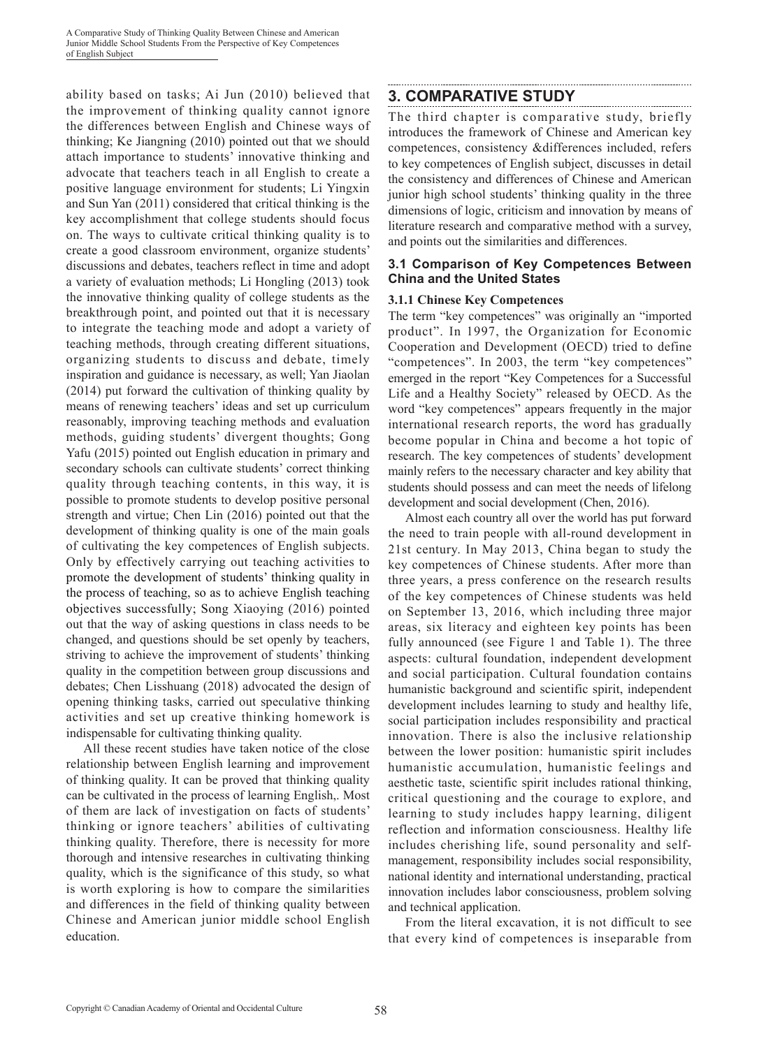ability based on tasks; Ai Jun (2010) believed that the improvement of thinking quality cannot ignore the differences between English and Chinese ways of thinking; Ke Jiangning (2010) pointed out that we should attach importance to students' innovative thinking and advocate that teachers teach in all English to create a positive language environment for students; Li Yingxin and Sun Yan (2011) considered that critical thinking is the key accomplishment that college students should focus on. The ways to cultivate critical thinking quality is to create a good classroom environment, organize students' discussions and debates, teachers reflect in time and adopt a variety of evaluation methods; Li Hongling (2013) took the innovative thinking quality of college students as the breakthrough point, and pointed out that it is necessary to integrate the teaching mode and adopt a variety of teaching methods, through creating different situations, organizing students to discuss and debate, timely inspiration and guidance is necessary, as well; Yan Jiaolan (2014) put forward the cultivation of thinking quality by means of renewing teachers' ideas and set up curriculum reasonably, improving teaching methods and evaluation methods, guiding students' divergent thoughts; Gong Yafu (2015) pointed out English education in primary and secondary schools can cultivate students' correct thinking quality through teaching contents, in this way, it is possible to promote students to develop positive personal strength and virtue; Chen Lin (2016) pointed out that the development of thinking quality is one of the main goals of cultivating the key competences of English subjects. Only by effectively carrying out teaching activities to promote the development of students' thinking quality in the process of teaching, so as to achieve English teaching objectives successfully; Song Xiaoying (2016) pointed out that the way of asking questions in class needs to be changed, and questions should be set openly by teachers, striving to achieve the improvement of students' thinking quality in the competition between group discussions and debates; Chen Lisshuang (2018) advocated the design of opening thinking tasks, carried out speculative thinking activities and set up creative thinking homework is indispensable for cultivating thinking quality.

All these recent studies have taken notice of the close relationship between English learning and improvement of thinking quality. It can be proved that thinking quality can be cultivated in the process of learning English,. Most of them are lack of investigation on facts of students' thinking or ignore teachers' abilities of cultivating thinking quality. Therefore, there is necessity for more thorough and intensive researches in cultivating thinking quality, which is the significance of this study, so what is worth exploring is how to compare the similarities and differences in the field of thinking quality between Chinese and American junior middle school English education.

### **3. COMPARATIVE STUDY**

The third chapter is comparative study, briefly introduces the framework of Chinese and American key competences, consistency &differences included, refers to key competences of English subject, discusses in detail the consistency and differences of Chinese and American junior high school students' thinking quality in the three dimensions of logic, criticism and innovation by means of literature research and comparative method with a survey, and points out the similarities and differences.

#### **3.1 Comparison of Key Competences Between China and the United States**

#### **3.1.1 Chinese Key Competences**

The term "key competences" was originally an "imported product". In 1997, the Organization for Economic Cooperation and Development (OECD) tried to define "competences". In 2003, the term "key competences" emerged in the report "Key Competences for a Successful Life and a Healthy Society" released by OECD. As the word "key competences" appears frequently in the major international research reports, the word has gradually become popular in China and become a hot topic of research. The key competences of students' development mainly refers to the necessary character and key ability that students should possess and can meet the needs of lifelong development and social development (Chen, 2016).

Almost each country all over the world has put forward the need to train people with all-round development in 21st century. In May 2013, China began to study the key competences of Chinese students. After more than three years, a press conference on the research results of the key competences of Chinese students was held on September 13, 2016, which including three major areas, six literacy and eighteen key points has been fully announced (see Figure 1 and Table 1). The three aspects: cultural foundation, independent development and social participation. Cultural foundation contains humanistic background and scientific spirit, independent development includes learning to study and healthy life, social participation includes responsibility and practical innovation. There is also the inclusive relationship between the lower position: humanistic spirit includes humanistic accumulation, humanistic feelings and aesthetic taste, scientific spirit includes rational thinking, critical questioning and the courage to explore, and learning to study includes happy learning, diligent reflection and information consciousness. Healthy life includes cherishing life, sound personality and selfmanagement, responsibility includes social responsibility, national identity and international understanding, practical innovation includes labor consciousness, problem solving and technical application.

From the literal excavation, it is not difficult to see that every kind of competences is inseparable from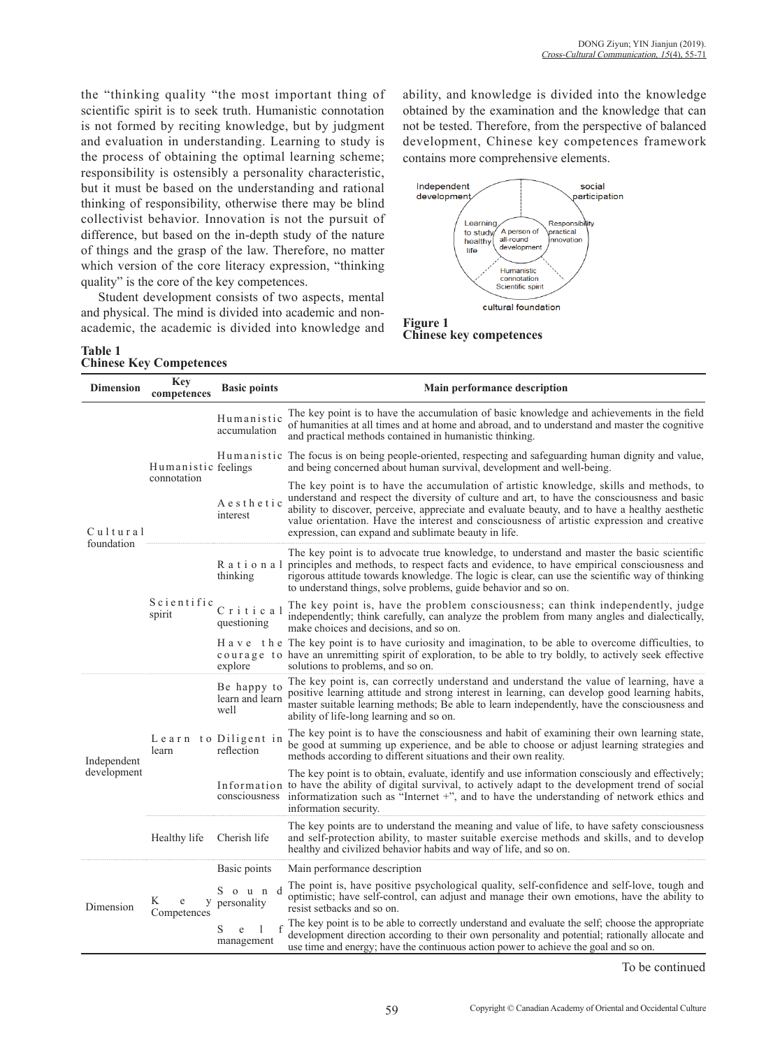the "thinking quality "the most important thing of scientific spirit is to seek truth. Humanistic connotation is not formed by reciting knowledge, but by judgment and evaluation in understanding. Learning to study is the process of obtaining the optimal learning scheme; responsibility is ostensibly a personality characteristic, but it must be based on the understanding and rational thinking of responsibility, otherwise there may be blind collectivist behavior. Innovation is not the pursuit of difference, but based on the in-depth study of the nature of things and the grasp of the law. Therefore, no matter which version of the core literacy expression, "thinking quality" is the core of the key competences.

Student development consists of two aspects, mental and physical. The mind is divided into academic and nonacademic, the academic is divided into knowledge and

**Table 1 Chinese Key Competences**

ability, and knowledge is divided into the knowledge obtained by the examination and the knowledge that can not be tested. Therefore, from the perspective of balanced development, Chinese key competences framework contains more comprehensive elements.



| <b>Dimension</b> | <b>Key</b><br>competences          | <b>Basic points</b>                    | Main performance description                                                                                                                                                                                                                                                                                                                                                                                                                    |  |  |  |  |  |  |
|------------------|------------------------------------|----------------------------------------|-------------------------------------------------------------------------------------------------------------------------------------------------------------------------------------------------------------------------------------------------------------------------------------------------------------------------------------------------------------------------------------------------------------------------------------------------|--|--|--|--|--|--|
|                  | Humanistic feelings<br>connotation | Humanistic<br>accumulation             | The key point is to have the accumulation of basic knowledge and achievements in the field<br>of humanities at all times and at home and abroad, and to understand and master the cognitive<br>and practical methods contained in humanistic thinking.                                                                                                                                                                                          |  |  |  |  |  |  |
|                  |                                    |                                        | Humanistic The focus is on being people-oriented, respecting and safeguarding human dignity and value,<br>and being concerned about human survival, development and well-being.                                                                                                                                                                                                                                                                 |  |  |  |  |  |  |
| Cultural         |                                    | Aesthetic<br>interest                  | The key point is to have the accumulation of artistic knowledge, skills and methods, to<br>understand and respect the diversity of culture and art, to have the consciousness and basic<br>ability to discover, perceive, appreciate and evaluate beauty, and to have a healthy aesthetic<br>value orientation. Have the interest and consciousness of artistic expression and creative<br>expression, can expand and sublimate beauty in life. |  |  |  |  |  |  |
| foundation       | Scientific<br>spirit               | Rational<br>thinking                   | The key point is to advocate true knowledge, to understand and master the basic scientific<br>principles and methods, to respect facts and evidence, to have empirical consciousness and<br>rigorous attitude towards knowledge. The logic is clear, can use the scientific way of thinking<br>to understand things, solve problems, guide behavior and so on.                                                                                  |  |  |  |  |  |  |
|                  |                                    | Critical<br>questioning                | The key point is, have the problem consciousness; can think independently, judge<br>independently; think carefully, can analyze the problem from many angles and dialectically,<br>make choices and decisions, and so on.                                                                                                                                                                                                                       |  |  |  |  |  |  |
|                  |                                    | explore                                | H a v e the The key point is to have curiosity and imagination, to be able to overcome difficulties, to<br>courage to have an unremitting spirit of exploration, to be able to try boldly, to actively seek effective<br>solutions to problems, and so on.                                                                                                                                                                                      |  |  |  |  |  |  |
|                  | learn                              | Be happy to<br>learn and learn<br>well | The key point is, can correctly understand and understand the value of learning, have a<br>positive learning attitude and strong interest in learning, can develop good learning habits,<br>master suitable learning methods; Be able to learn independently, have the consciousness and<br>ability of life-long learning and so on.                                                                                                            |  |  |  |  |  |  |
| Independent      |                                    | Learn to Diligent in<br>reflection     | The key point is to have the consciousness and habit of examining their own learning state,<br>be good at summing up experience, and be able to choose or adjust learning strategies and<br>methods according to different situations and their own reality.                                                                                                                                                                                    |  |  |  |  |  |  |
| development      |                                    | consciousness                          | The key point is to obtain, evaluate, identify and use information consciously and effectively;<br>Information to have the ability of digital survival, to actively adapt to the development trend of social<br>informatization such as "Internet $+$ ", and to have the understanding of network ethics and<br>information security.                                                                                                           |  |  |  |  |  |  |
|                  | Healthy life<br>Cherish life       |                                        | The key points are to understand the meaning and value of life, to have safety consciousness<br>and self-protection ability, to master suitable exercise methods and skills, and to develop<br>healthy and civilized behavior habits and way of life, and so on.                                                                                                                                                                                |  |  |  |  |  |  |
|                  |                                    | Basic points                           | Main performance description                                                                                                                                                                                                                                                                                                                                                                                                                    |  |  |  |  |  |  |
| Dimension        | K<br>e<br>Competences              | S o u n d<br>y personality             | The point is, have positive psychological quality, self-confidence and self-love, tough and<br>optimistic; have self-control, can adjust and manage their own emotions, have the ability to<br>resist setbacks and so on.                                                                                                                                                                                                                       |  |  |  |  |  |  |
|                  |                                    | S<br>e<br>management                   | The key point is to be able to correctly understand and evaluate the self; choose the appropriate<br>development direction according to their own personality and potential; rationally allocate and<br>use time and energy; have the continuous action power to achieve the goal and so on.                                                                                                                                                    |  |  |  |  |  |  |

To be continued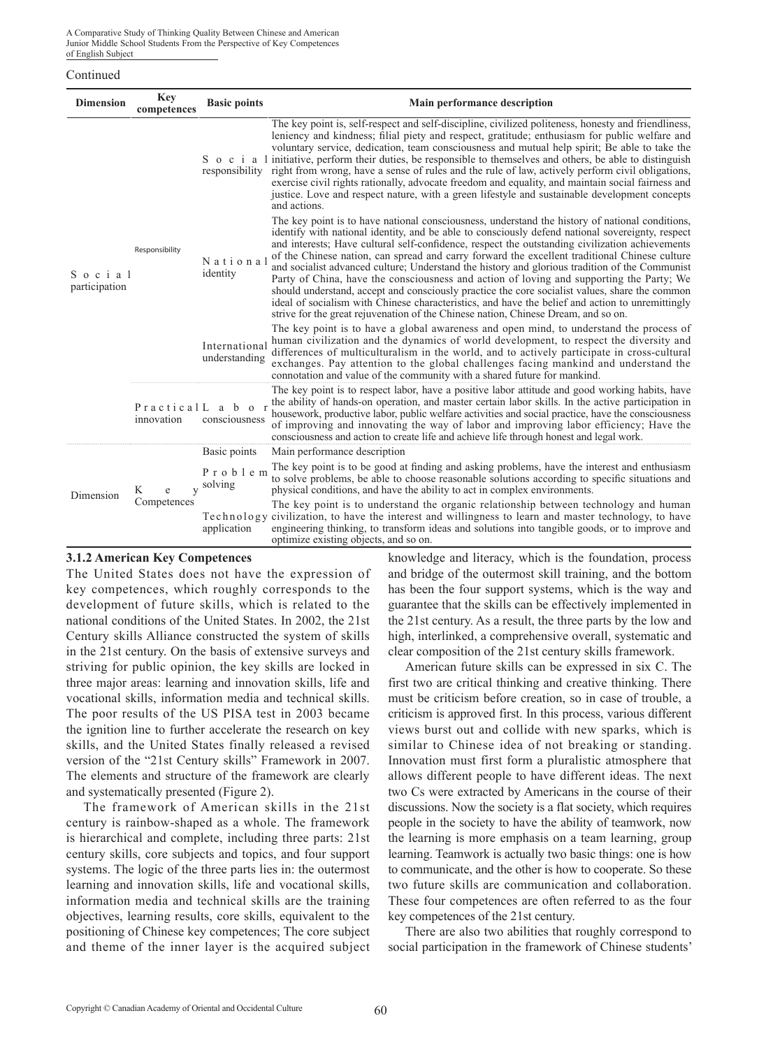A Comparative Study of Thinking Quality Between Chinese and American Junior Middle School Students From the Perspective of Key Competences of English Subject

#### Continued

| <b>Dimension</b>        | <b>Key</b><br>competences | <b>Basic points</b>                 | Main performance description                                                                                                                                                                                                                                                                                                                                                                                                                                                                                                                                                                                                                                                                                                                                                                                                                                                                      |
|-------------------------|---------------------------|-------------------------------------|---------------------------------------------------------------------------------------------------------------------------------------------------------------------------------------------------------------------------------------------------------------------------------------------------------------------------------------------------------------------------------------------------------------------------------------------------------------------------------------------------------------------------------------------------------------------------------------------------------------------------------------------------------------------------------------------------------------------------------------------------------------------------------------------------------------------------------------------------------------------------------------------------|
|                         |                           |                                     | The key point is, self-respect and self-discipline, civilized politeness, honesty and friendliness,<br>leniency and kindness; filial piety and respect, gratitude; enthusiasm for public welfare and<br>voluntary service, dedication, team consciousness and mutual help spirit; Be able to take the<br>S o c i a 1 initiative, perform their duties, be responsible to themselves and others, be able to distinguish<br>responsibility right from wrong, have a sense of rules and the rule of law, actively perform civil obligations,<br>exercise civil rights rationally, advocate freedom and equality, and maintain social fairness and<br>justice. Love and respect nature, with a green lifestyle and sustainable development concepts<br>and actions.                                                                                                                                   |
| Social<br>participation | Responsibility            | National<br>identity                | The key point is to have national consciousness, understand the history of national conditions,<br>identify with national identity, and be able to consciously defend national sovereignty, respect<br>and interests; Have cultural self-confidence, respect the outstanding civilization achievements<br>of the Chinese nation, can spread and carry forward the excellent traditional Chinese culture<br>and socialist advanced culture; Understand the history and glorious tradition of the Communist<br>Party of China, have the consciousness and action of loving and supporting the Party; We<br>should understand, accept and consciously practice the core socialist values, share the common<br>ideal of socialism with Chinese characteristics, and have the belief and action to unremittingly<br>strive for the great rejuvenation of the Chinese nation, Chinese Dream, and so on. |
|                         |                           | International<br>understanding      | The key point is to have a global awareness and open mind, to understand the process of<br>human civilization and the dynamics of world development, to respect the diversity and<br>differences of multiculturalism in the world, and to actively participate in cross-cultural<br>exchanges. Pay attention to the global challenges facing mankind and understand the<br>connotation and value of the community with a shared future for mankind.                                                                                                                                                                                                                                                                                                                                                                                                                                               |
|                         | innovation                | PracticalL a b o r<br>consciousness | The key point is to respect labor, have a positive labor attitude and good working habits, have<br>the ability of hands-on operation, and master certain labor skills. In the active participation in<br>housework, productive labor, public welfare activities and social practice, have the consciousness<br>of improving and innovating the way of labor and improving labor efficiency; Have the<br>consciousness and action to create life and achieve life through honest and legal work.                                                                                                                                                                                                                                                                                                                                                                                                   |
|                         |                           | Basic points                        | Main performance description                                                                                                                                                                                                                                                                                                                                                                                                                                                                                                                                                                                                                                                                                                                                                                                                                                                                      |
| Dimension               | K<br>e                    | Problem<br>y solving                | The key point is to be good at finding and asking problems, have the interest and enthusiasm<br>to solve problems, be able to choose reasonable solutions according to specific situations and<br>physical conditions, and have the ability to act in complex environments.                                                                                                                                                                                                                                                                                                                                                                                                                                                                                                                                                                                                                       |
|                         | Competences               | application                         | The key point is to understand the organic relationship between technology and human<br>Technology civilization, to have the interest and willingness to learn and master technology, to have<br>engineering thinking, to transform ideas and solutions into tangible goods, or to improve and<br>optimize existing objects, and so on.                                                                                                                                                                                                                                                                                                                                                                                                                                                                                                                                                           |

#### **3.1.2 American Key Competences**

The United States does not have the expression of key competences, which roughly corresponds to the development of future skills, which is related to the national conditions of the United States. In 2002, the 21st Century skills Alliance constructed the system of skills in the 21st century. On the basis of extensive surveys and striving for public opinion, the key skills are locked in three major areas: learning and innovation skills, life and vocational skills, information media and technical skills. The poor results of the US PISA test in 2003 became the ignition line to further accelerate the research on key skills, and the United States finally released a revised version of the "21st Century skills" Framework in 2007. The elements and structure of the framework are clearly and systematically presented (Figure 2).

The framework of American skills in the 21st century is rainbow-shaped as a whole. The framework is hierarchical and complete, including three parts: 21st century skills, core subjects and topics, and four support systems. The logic of the three parts lies in: the outermost learning and innovation skills, life and vocational skills, information media and technical skills are the training objectives, learning results, core skills, equivalent to the positioning of Chinese key competences; The core subject and theme of the inner layer is the acquired subject knowledge and literacy, which is the foundation, process and bridge of the outermost skill training, and the bottom has been the four support systems, which is the way and guarantee that the skills can be effectively implemented in the 21st century. As a result, the three parts by the low and high, interlinked, a comprehensive overall, systematic and clear composition of the 21st century skills framework.

American future skills can be expressed in six C. The first two are critical thinking and creative thinking. There must be criticism before creation, so in case of trouble, a criticism is approved first. In this process, various different views burst out and collide with new sparks, which is similar to Chinese idea of not breaking or standing. Innovation must first form a pluralistic atmosphere that allows different people to have different ideas. The next two Cs were extracted by Americans in the course of their discussions. Now the society is a flat society, which requires people in the society to have the ability of teamwork, now the learning is more emphasis on a team learning, group learning. Teamwork is actually two basic things: one is how to communicate, and the other is how to cooperate. So these two future skills are communication and collaboration. These four competences are often referred to as the four key competences of the 21st century.

There are also two abilities that roughly correspond to social participation in the framework of Chinese students'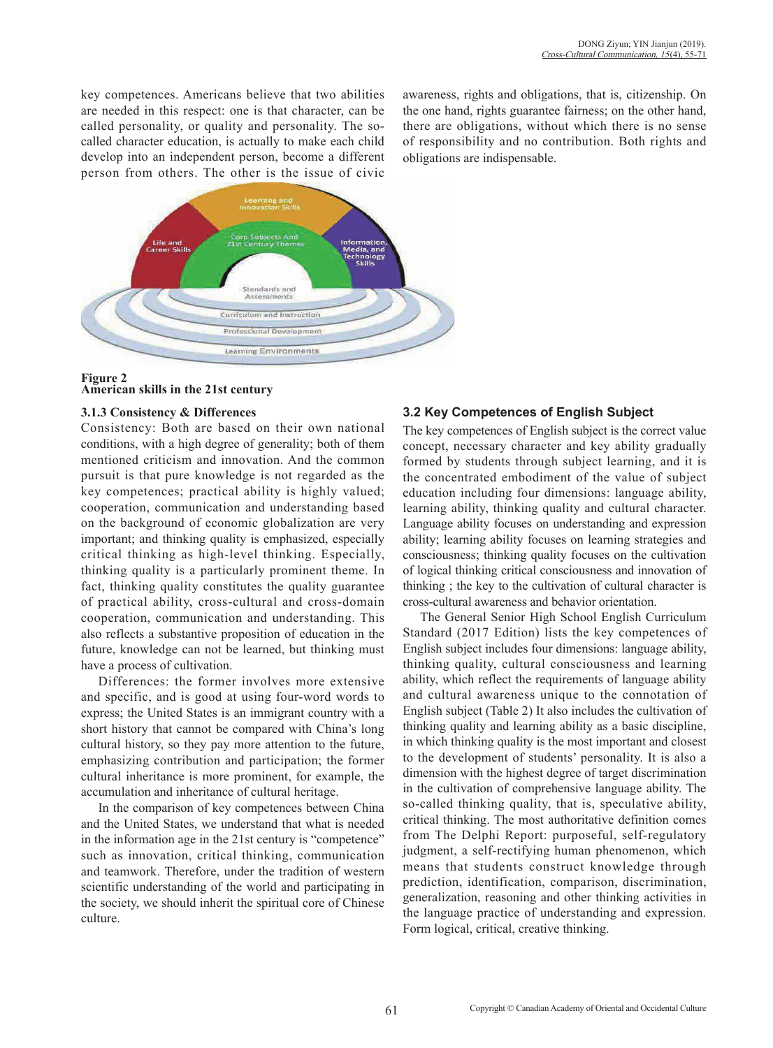key competences. Americans believe that two abilities are needed in this respect: one is that character, can be called personality, or quality and personality. The socalled character education, is actually to make each child develop into an independent person, become a different person from others. The other is the issue of civic awareness, rights and obligations, that is, citizenship. On the one hand, rights guarantee fairness; on the other hand, there are obligations, without which there is no sense of responsibility and no contribution. Both rights and obligations are indispensable.



### **Figure 2 American skills in the 21st century**

### **3.1.3 Consistency & Differences**

Consistency: Both are based on their own national conditions, with a high degree of generality; both of them mentioned criticism and innovation. And the common pursuit is that pure knowledge is not regarded as the key competences; practical ability is highly valued; cooperation, communication and understanding based on the background of economic globalization are very important; and thinking quality is emphasized, especially critical thinking as high-level thinking. Especially, thinking quality is a particularly prominent theme. In fact, thinking quality constitutes the quality guarantee of practical ability, cross-cultural and cross-domain cooperation, communication and understanding. This also reflects a substantive proposition of education in the future, knowledge can not be learned, but thinking must have a process of cultivation.

Differences: the former involves more extensive and specific, and is good at using four-word words to express; the United States is an immigrant country with a short history that cannot be compared with China's long cultural history, so they pay more attention to the future, emphasizing contribution and participation; the former cultural inheritance is more prominent, for example, the accumulation and inheritance of cultural heritage.

In the comparison of key competences between China and the United States, we understand that what is needed in the information age in the 21st century is "competence" such as innovation, critical thinking, communication and teamwork. Therefore, under the tradition of western scientific understanding of the world and participating in the society, we should inherit the spiritual core of Chinese culture.

## **3.2 Key Competences of English Subject**

The key competences of English subject is the correct value concept, necessary character and key ability gradually formed by students through subject learning, and it is the concentrated embodiment of the value of subject education including four dimensions: language ability, learning ability, thinking quality and cultural character. Language ability focuses on understanding and expression ability; learning ability focuses on learning strategies and consciousness; thinking quality focuses on the cultivation of logical thinking critical consciousness and innovation of thinking ; the key to the cultivation of cultural character is cross-cultural awareness and behavior orientation.

The General Senior High School English Curriculum Standard (2017 Edition) lists the key competences of English subject includes four dimensions: language ability, thinking quality, cultural consciousness and learning ability, which reflect the requirements of language ability and cultural awareness unique to the connotation of English subject (Table 2) It also includes the cultivation of thinking quality and learning ability as a basic discipline, in which thinking quality is the most important and closest to the development of students' personality. It is also a dimension with the highest degree of target discrimination in the cultivation of comprehensive language ability. The so-called thinking quality, that is, speculative ability, critical thinking. The most authoritative definition comes from The Delphi Report: purposeful, self-regulatory judgment, a self-rectifying human phenomenon, which means that students construct knowledge through prediction, identification, comparison, discrimination, generalization, reasoning and other thinking activities in the language practice of understanding and expression. Form logical, critical, creative thinking.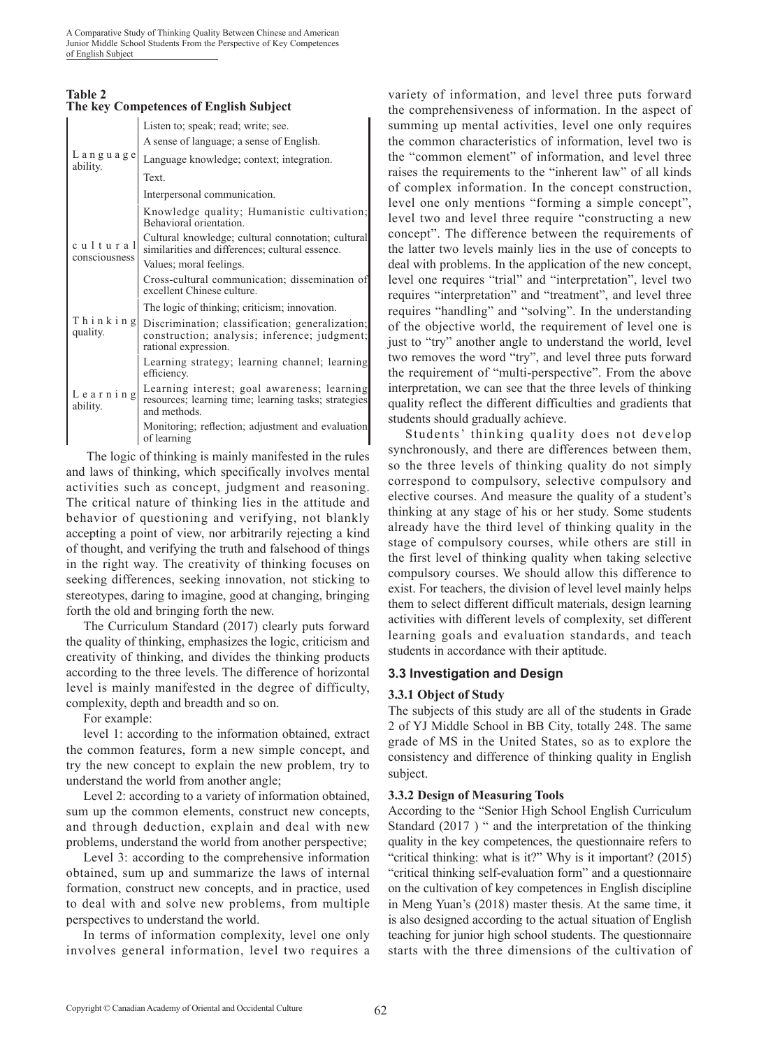#### **Table 2 The key Competences of English Subject**

|                               | Listen to; speak; read; write; see.                                                                                     |
|-------------------------------|-------------------------------------------------------------------------------------------------------------------------|
|                               | A sense of language; a sense of English.                                                                                |
| $L$ anguage<br>ability.       | Language knowledge; context; integration.                                                                               |
|                               | Text.                                                                                                                   |
|                               | Interpersonal communication.                                                                                            |
|                               | Knowledge quality; Humanistic cultivation;<br>Behavioral orientation.                                                   |
| cultural                      | Cultural knowledge; cultural connotation; cultural<br>similarities and differences; cultural essence.                   |
| consciousness                 | Values; moral feelings.                                                                                                 |
|                               | Cross-cultural communication; dissemination of<br>excellent Chinese culture.                                            |
|                               | The logic of thinking; criticism; innovation.                                                                           |
| Thinking<br>quality.          | Discrimination; classification; generalization;<br>construction; analysis; inference; judgment;<br>rational expression. |
|                               | Learning strategy; learning channel; learning<br>efficiency.                                                            |
| $L$ e a r n i n g<br>ability. | Learning interest; goal awareness; learning<br>resources; learning time; learning tasks; strategies<br>and methods.     |
|                               | Monitoring; reflection; adjustment and evaluation<br>of learning                                                        |

 The logic of thinking is mainly manifested in the rules and laws of thinking, which specifically involves mental activities such as concept, judgment and reasoning. The critical nature of thinking lies in the attitude and behavior of questioning and verifying, not blankly accepting a point of view, nor arbitrarily rejecting a kind of thought, and verifying the truth and falsehood of things in the right way. The creativity of thinking focuses on seeking differences, seeking innovation, not sticking to stereotypes, daring to imagine, good at changing, bringing forth the old and bringing forth the new.

The Curriculum Standard (2017) clearly puts forward the quality of thinking, emphasizes the logic, criticism and creativity of thinking, and divides the thinking products according to the three levels. The difference of horizontal level is mainly manifested in the degree of difficulty, complexity, depth and breadth and so on.

For example:

level 1: according to the information obtained, extract the common features, form a new simple concept, and try the new concept to explain the new problem, try to understand the world from another angle;

Level 2: according to a variety of information obtained, sum up the common elements, construct new concepts, and through deduction, explain and deal with new problems, understand the world from another perspective;

Level 3: according to the comprehensive information obtained, sum up and summarize the laws of internal formation, construct new concepts, and in practice, used to deal with and solve new problems, from multiple perspectives to understand the world.

In terms of information complexity, level one only involves general information, level two requires a variety of information, and level three puts forward the comprehensiveness of information. In the aspect of summing up mental activities, level one only requires the common characteristics of information, level two is the "common element" of information, and level three raises the requirements to the "inherent law" of all kinds of complex information. In the concept construction, level one only mentions "forming a simple concept", level two and level three require "constructing a new concept". The difference between the requirements of the latter two levels mainly lies in the use of concepts to deal with problems. In the application of the new concept, level one requires "trial" and "interpretation", level two requires "interpretation" and "treatment", and level three requires "handling" and "solving". In the understanding of the objective world, the requirement of level one is just to "try" another angle to understand the world, level two removes the word "try", and level three puts forward the requirement of "multi-perspective". From the above interpretation, we can see that the three levels of thinking quality reflect the different difficulties and gradients that students should gradually achieve.

Students' thinking quality does not develop synchronously, and there are differences between them, so the three levels of thinking quality do not simply correspond to compulsory, selective compulsory and elective courses. And measure the quality of a student's thinking at any stage of his or her study. Some students already have the third level of thinking quality in the stage of compulsory courses, while others are still in the first level of thinking quality when taking selective compulsory courses. We should allow this difference to exist. For teachers, the division of level level mainly helps them to select different difficult materials, design learning activities with different levels of complexity, set different learning goals and evaluation standards, and teach students in accordance with their aptitude.

### **3.3 Investigation and Design**

### **3.3.1 Object of Study**

The subjects of this study are all of the students in Grade 2 of YJ Middle School in BB City, totally 248. The same grade of MS in the United States, so as to explore the consistency and difference of thinking quality in English subject.

### **3.3.2 Design of Measuring Tools**

According to the "Senior High School English Curriculum Standard (2017) " and the interpretation of the thinking quality in the key competences, the questionnaire refers to "critical thinking: what is it?" Why is it important? (2015) "critical thinking self-evaluation form" and a questionnaire on the cultivation of key competences in English discipline in Meng Yuan's (2018) master thesis. At the same time, it is also designed according to the actual situation of English teaching for junior high school students. The questionnaire starts with the three dimensions of the cultivation of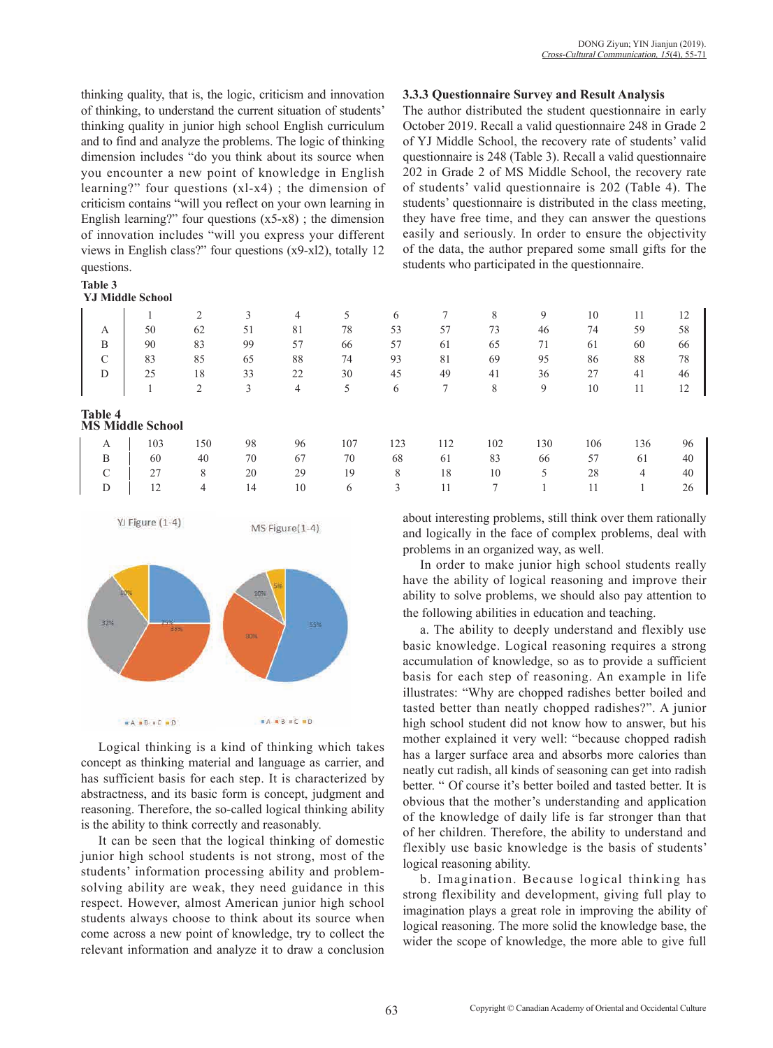thinking quality, that is, the logic, criticism and innovation of thinking, to understand the current situation of students' thinking quality in junior high school English curriculum and to find and analyze the problems. The logic of thinking dimension includes "do you think about its source when you encounter a new point of knowledge in English learning?" four questions (xl-x4) ; the dimension of criticism contains "will you reflect on your own learning in English learning?" four questions  $(x5-x8)$ ; the dimension of innovation includes "will you express your different views in English class?" four questions (x9-xl2), totally 12 questions.

#### **Table 3**

#### **YJ Middle School**

| 51<br>78<br>59<br>50<br>62<br>81<br>53<br>57<br>73<br>74<br>46<br>A<br>83<br>99<br>90<br>57<br>57<br>60<br>B<br>71<br>66<br>61<br>65<br>61<br>85<br>88<br>74<br>88<br>$\curvearrowright$<br>83<br>65<br>93<br>81<br>69<br>95<br>86<br>◡<br>33<br>25<br>18<br>22<br>30<br>45<br>49<br>27<br>41<br>D<br>36<br>41<br>3<br>2<br>5<br>8<br>9<br>10<br>11<br>4<br>6<br><b>Table 4</b><br><b>MS Middle School</b><br>150<br>98<br>107<br>123<br>102<br>130<br>103<br>106<br>136<br>112<br>96<br>A<br>B<br>83<br>70<br>67<br>70<br>68<br>57<br>40<br>61<br>60<br>61<br>66<br>$\mathcal{C}$<br>8<br>20<br>29<br>8<br>18<br>28<br>27<br>10<br>19<br>3<br>⇁<br>12<br>14<br>10<br>4<br>6 |  | ◠<br>∠ | 3 | 4 | 5 | 6 | 8 | 9 | 10 | 11 | 12 |
|------------------------------------------------------------------------------------------------------------------------------------------------------------------------------------------------------------------------------------------------------------------------------------------------------------------------------------------------------------------------------------------------------------------------------------------------------------------------------------------------------------------------------------------------------------------------------------------------------------------------------------------------------------------------------|--|--------|---|---|---|---|---|---|----|----|----|
|                                                                                                                                                                                                                                                                                                                                                                                                                                                                                                                                                                                                                                                                              |  |        |   |   |   |   |   |   |    |    | 58 |
|                                                                                                                                                                                                                                                                                                                                                                                                                                                                                                                                                                                                                                                                              |  |        |   |   |   |   |   |   |    |    | 66 |
|                                                                                                                                                                                                                                                                                                                                                                                                                                                                                                                                                                                                                                                                              |  |        |   |   |   |   |   |   |    |    | 78 |
|                                                                                                                                                                                                                                                                                                                                                                                                                                                                                                                                                                                                                                                                              |  |        |   |   |   |   |   |   |    |    | 46 |
|                                                                                                                                                                                                                                                                                                                                                                                                                                                                                                                                                                                                                                                                              |  |        |   |   |   |   |   |   |    |    | 12 |
|                                                                                                                                                                                                                                                                                                                                                                                                                                                                                                                                                                                                                                                                              |  |        |   |   |   |   |   |   |    |    |    |
|                                                                                                                                                                                                                                                                                                                                                                                                                                                                                                                                                                                                                                                                              |  |        |   |   |   |   |   |   |    |    | 9  |
|                                                                                                                                                                                                                                                                                                                                                                                                                                                                                                                                                                                                                                                                              |  |        |   |   |   |   |   |   |    |    | 4  |
|                                                                                                                                                                                                                                                                                                                                                                                                                                                                                                                                                                                                                                                                              |  |        |   |   |   |   |   |   |    |    | 4  |
|                                                                                                                                                                                                                                                                                                                                                                                                                                                                                                                                                                                                                                                                              |  |        |   |   |   |   |   |   |    |    |    |

YJ Figure (1-4)





Logical thinking is a kind of thinking which takes concept as thinking material and language as carrier, and has sufficient basis for each step. It is characterized by abstractness, and its basic form is concept, judgment and reasoning. Therefore, the so-called logical thinking ability is the ability to think correctly and reasonably.

It can be seen that the logical thinking of domestic junior high school students is not strong, most of the students' information processing ability and problemsolving ability are weak, they need guidance in this respect. However, almost American junior high school students always choose to think about its source when come across a new point of knowledge, try to collect the relevant information and analyze it to draw a conclusion

#### **3.3.3 Questionnaire Survey and Result Analysis**

The author distributed the student questionnaire in early October 2019. Recall a valid questionnaire 248 in Grade 2 of YJ Middle School, the recovery rate of students' valid questionnaire is 248 (Table 3). Recall a valid questionnaire 202 in Grade 2 of MS Middle School, the recovery rate of students' valid questionnaire is 202 (Table 4). The students' questionnaire is distributed in the class meeting, they have free time, and they can answer the questions easily and seriously. In order to ensure the objectivity of the data, the author prepared some small gifts for the students who participated in the questionnaire.

|      |                      |     | 3  | 4  |     | 6   |     | 8   | 9   | 10  | 11  |    |
|------|----------------------|-----|----|----|-----|-----|-----|-----|-----|-----|-----|----|
| A    | 50                   | 62  | 51 | 81 | 78  | 53  | 57  | 73  | 46  | 74  | 59  | 58 |
|      | 90                   | 83  | 99 | 57 | 66  | 57  | 61  | 65  | 71  | 61  | 60  | 66 |
| ⌒    | 83                   | 85  | 65 | 88 | 74  | 93  | 81  | 69  | 95  | 86  | 88  | 78 |
|      | 25                   | 18  | 33 | 22 | 30  | 45  | 49  | 41  | 36  | 27  | 41  | 46 |
|      |                      | 2   | 3  | 4  | 5   | 6   | 7   | 8   | 9   | 10  | 11  | 12 |
| le 4 | <b>Middle School</b> |     |    |    |     |     |     |     |     |     |     |    |
| A    | 103                  | 150 | 98 | 96 | 107 | 123 | 112 | 102 | 130 | 106 | 136 | 96 |
| B    | 60                   | 40  | 70 | 67 | 70  | 68  | 61  | 83  | 66  | 57  | 61  | 40 |
| C    | 27                   | 8   | 20 | 29 | 19  | 8   | 18  | 10  |     | 28  | 4   | 40 |
| D    | 12                   | 4   | 14 | 10 | 6   | 3   | 11  |     |     | 11  |     | 26 |

about interesting problems, still think over them rationally and logically in the face of complex problems, deal with problems in an organized way, as well.

In order to make junior high school students really have the ability of logical reasoning and improve their ability to solve problems, we should also pay attention to the following abilities in education and teaching.

a. The ability to deeply understand and flexibly use basic knowledge. Logical reasoning requires a strong accumulation of knowledge, so as to provide a sufficient basis for each step of reasoning. An example in life illustrates: "Why are chopped radishes better boiled and tasted better than neatly chopped radishes?". A junior high school student did not know how to answer, but his mother explained it very well: "because chopped radish has a larger surface area and absorbs more calories than neatly cut radish, all kinds of seasoning can get into radish better. " Of course it's better boiled and tasted better. It is obvious that the mother's understanding and application of the knowledge of daily life is far stronger than that of her children. Therefore, the ability to understand and flexibly use basic knowledge is the basis of students' logical reasoning ability.

b. Imagination. Because logical thinking has strong flexibility and development, giving full play to imagination plays a great role in improving the ability of logical reasoning. The more solid the knowledge base, the wider the scope of knowledge, the more able to give full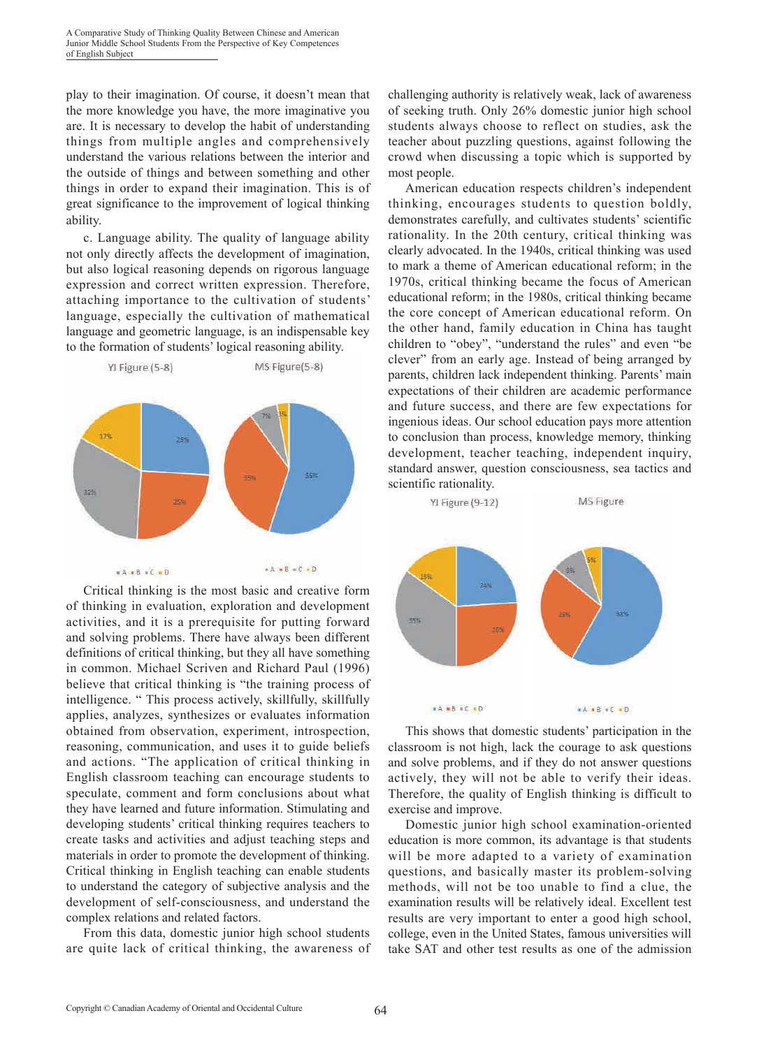play to their imagination. Of course, it doesn't mean that the more knowledge you have, the more imaginative you are. It is necessary to develop the habit of understanding things from multiple angles and comprehensively understand the various relations between the interior and the outside of things and between something and other things in order to expand their imagination. This is of great significance to the improvement of logical thinking ability.

c. Language ability. The quality of language ability not only directly affects the development of imagination, but also logical reasoning depends on rigorous language expression and correct written expression. Therefore, attaching importance to the cultivation of students' language, especially the cultivation of mathematical language and geometric language, is an indispensable key to the formation of students' logical reasoning ability.



Critical thinking is the most basic and creative form of thinking in evaluation, exploration and development activities, and it is a prerequisite for putting forward and solving problems. There have always been different definitions of critical thinking, but they all have something in common. Michael Scriven and Richard Paul (1996) believe that critical thinking is "the training process of intelligence. " This process actively, skillfully, skillfully applies, analyzes, synthesizes or evaluates information obtained from observation, experiment, introspection, reasoning, communication, and uses it to guide beliefs and actions. "The application of critical thinking in English classroom teaching can encourage students to speculate, comment and form conclusions about what they have learned and future information. Stimulating and developing students' critical thinking requires teachers to create tasks and activities and adjust teaching steps and materials in order to promote the development of thinking. Critical thinking in English teaching can enable students to understand the category of subjective analysis and the development of self-consciousness, and understand the complex relations and related factors.

From this data, domestic junior high school students are quite lack of critical thinking, the awareness of challenging authority is relatively weak, lack of awareness of seeking truth. Only 26% domestic junior high school students always choose to reflect on studies, ask the teacher about puzzling questions, against following the crowd when discussing a topic which is supported by most people.

American education respects children's independent thinking, encourages students to question boldly, demonstrates carefully, and cultivates students' scientific rationality. In the 20th century, critical thinking was clearly advocated. In the 1940s, critical thinking was used to mark a theme of American educational reform; in the 1970s, critical thinking became the focus of American educational reform; in the 1980s, critical thinking became the core concept of American educational reform. On the other hand, family education in China has taught children to "obey", "understand the rules" and even "be clever" from an early age. Instead of being arranged by parents, children lack independent thinking. Parents' main expectations of their children are academic performance and future success, and there are few expectations for ingenious ideas. Our school education pays more attention to conclusion than process, knowledge memory, thinking development, teacher teaching, independent inquiry, standard answer, question consciousness, sea tactics and scientific rationality.



This shows that domestic students' participation in the classroom is not high, lack the courage to ask questions and solve problems, and if they do not answer questions actively, they will not be able to verify their ideas. Therefore, the quality of English thinking is difficult to exercise and improve.

Domestic junior high school examination-oriented education is more common, its advantage is that students will be more adapted to a variety of examination questions, and basically master its problem-solving methods, will not be too unable to find a clue, the examination results will be relatively ideal. Excellent test results are very important to enter a good high school, college, even in the United States, famous universities will take SAT and other test results as one of the admission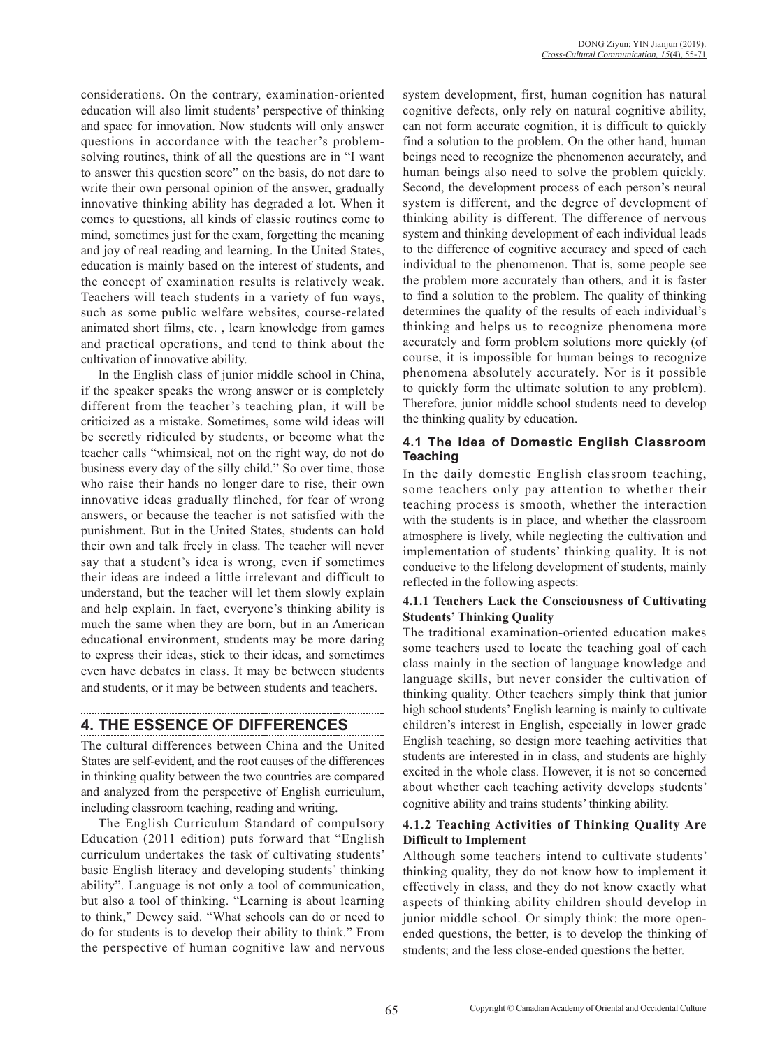considerations. On the contrary, examination-oriented education will also limit students' perspective of thinking and space for innovation. Now students will only answer questions in accordance with the teacher's problemsolving routines, think of all the questions are in "I want to answer this question score" on the basis, do not dare to write their own personal opinion of the answer, gradually innovative thinking ability has degraded a lot. When it comes to questions, all kinds of classic routines come to mind, sometimes just for the exam, forgetting the meaning and joy of real reading and learning. In the United States, education is mainly based on the interest of students, and the concept of examination results is relatively weak. Teachers will teach students in a variety of fun ways, such as some public welfare websites, course-related animated short films, etc. , learn knowledge from games and practical operations, and tend to think about the cultivation of innovative ability.

In the English class of junior middle school in China, if the speaker speaks the wrong answer or is completely different from the teacher's teaching plan, it will be criticized as a mistake. Sometimes, some wild ideas will be secretly ridiculed by students, or become what the teacher calls "whimsical, not on the right way, do not do business every day of the silly child." So over time, those who raise their hands no longer dare to rise, their own innovative ideas gradually flinched, for fear of wrong answers, or because the teacher is not satisfied with the punishment. But in the United States, students can hold their own and talk freely in class. The teacher will never say that a student's idea is wrong, even if sometimes their ideas are indeed a little irrelevant and difficult to understand, but the teacher will let them slowly explain and help explain. In fact, everyone's thinking ability is much the same when they are born, but in an American educational environment, students may be more daring to express their ideas, stick to their ideas, and sometimes even have debates in class. It may be between students and students, or it may be between students and teachers.

# **4. THE ESSENCE OF DIFFERENCES**

The cultural differences between China and the United States are self-evident, and the root causes of the differences in thinking quality between the two countries are compared and analyzed from the perspective of English curriculum, including classroom teaching, reading and writing.

The English Curriculum Standard of compulsory Education (2011 edition) puts forward that "English curriculum undertakes the task of cultivating students' basic English literacy and developing students' thinking ability". Language is not only a tool of communication, but also a tool of thinking. "Learning is about learning to think," Dewey said. "What schools can do or need to do for students is to develop their ability to think." From the perspective of human cognitive law and nervous system development, first, human cognition has natural cognitive defects, only rely on natural cognitive ability, can not form accurate cognition, it is difficult to quickly find a solution to the problem. On the other hand, human beings need to recognize the phenomenon accurately, and human beings also need to solve the problem quickly. Second, the development process of each person's neural system is different, and the degree of development of thinking ability is different. The difference of nervous system and thinking development of each individual leads to the difference of cognitive accuracy and speed of each individual to the phenomenon. That is, some people see the problem more accurately than others, and it is faster to find a solution to the problem. The quality of thinking determines the quality of the results of each individual's thinking and helps us to recognize phenomena more accurately and form problem solutions more quickly (of course, it is impossible for human beings to recognize phenomena absolutely accurately. Nor is it possible to quickly form the ultimate solution to any problem). Therefore, junior middle school students need to develop the thinking quality by education.

## **4.1 The Idea of Domestic English Classroom Teaching**

In the daily domestic English classroom teaching, some teachers only pay attention to whether their teaching process is smooth, whether the interaction with the students is in place, and whether the classroom atmosphere is lively, while neglecting the cultivation and implementation of students' thinking quality. It is not conducive to the lifelong development of students, mainly reflected in the following aspects:

### **4.1.1 Teachers Lack the Consciousness of Cultivating Students' Thinking Quality**

The traditional examination-oriented education makes some teachers used to locate the teaching goal of each class mainly in the section of language knowledge and language skills, but never consider the cultivation of thinking quality. Other teachers simply think that junior high school students' English learning is mainly to cultivate children's interest in English, especially in lower grade English teaching, so design more teaching activities that students are interested in in class, and students are highly excited in the whole class. However, it is not so concerned about whether each teaching activity develops students' cognitive ability and trains students' thinking ability.

### **4.1.2 Teaching Activities of Thinking Quality Are Difficult to Implement**

Although some teachers intend to cultivate students' thinking quality, they do not know how to implement it effectively in class, and they do not know exactly what aspects of thinking ability children should develop in junior middle school. Or simply think: the more openended questions, the better, is to develop the thinking of students; and the less close-ended questions the better.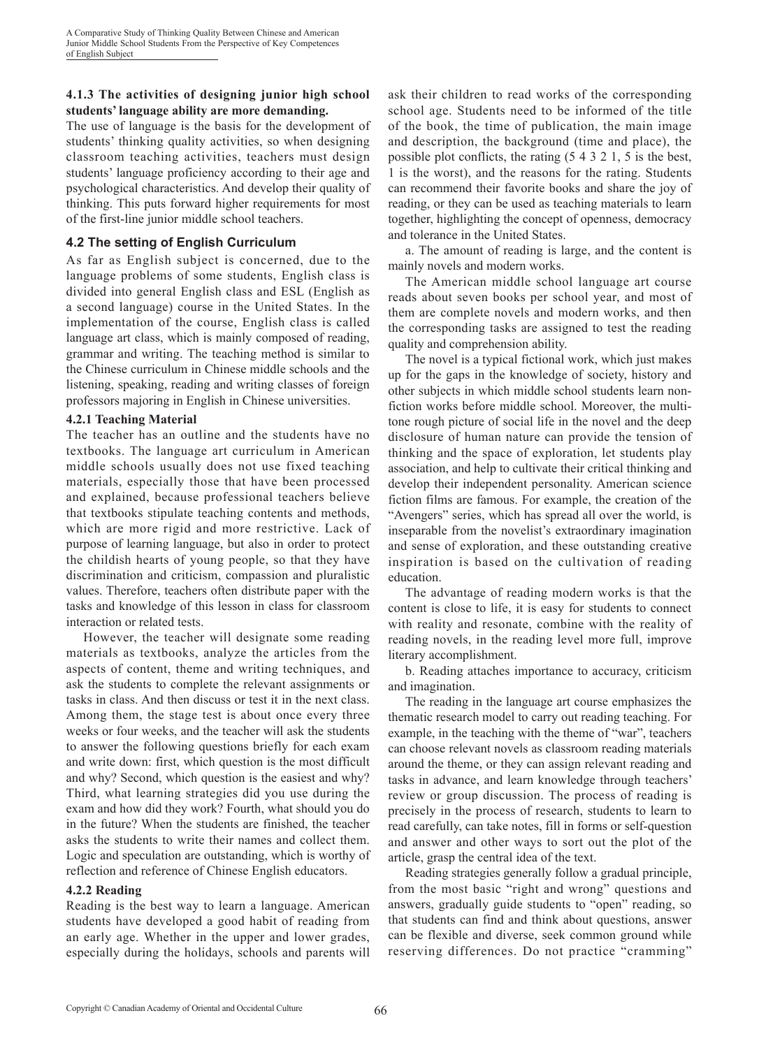A Comparative Study of Thinking Quality Between Chinese and American Junior Middle School Students From the Perspective of Key Competences of English Subject

### **4.1.3 The activities of designing junior high school students' language ability are more demanding.**

The use of language is the basis for the development of students' thinking quality activities, so when designing classroom teaching activities, teachers must design students' language proficiency according to their age and psychological characteristics. And develop their quality of thinking. This puts forward higher requirements for most of the first-line junior middle school teachers.

### **4.2 The setting of English Curriculum**

As far as English subject is concerned, due to the language problems of some students, English class is divided into general English class and ESL (English as a second language) course in the United States. In the implementation of the course, English class is called language art class, which is mainly composed of reading, grammar and writing. The teaching method is similar to the Chinese curriculum in Chinese middle schools and the listening, speaking, reading and writing classes of foreign professors majoring in English in Chinese universities.

### **4.2.1 Teaching Material**

The teacher has an outline and the students have no textbooks. The language art curriculum in American middle schools usually does not use fixed teaching materials, especially those that have been processed and explained, because professional teachers believe that textbooks stipulate teaching contents and methods, which are more rigid and more restrictive. Lack of purpose of learning language, but also in order to protect the childish hearts of young people, so that they have discrimination and criticism, compassion and pluralistic values. Therefore, teachers often distribute paper with the tasks and knowledge of this lesson in class for classroom interaction or related tests.

However, the teacher will designate some reading materials as textbooks, analyze the articles from the aspects of content, theme and writing techniques, and ask the students to complete the relevant assignments or tasks in class. And then discuss or test it in the next class. Among them, the stage test is about once every three weeks or four weeks, and the teacher will ask the students to answer the following questions briefly for each exam and write down: first, which question is the most difficult and why? Second, which question is the easiest and why? Third, what learning strategies did you use during the exam and how did they work? Fourth, what should you do in the future? When the students are finished, the teacher asks the students to write their names and collect them. Logic and speculation are outstanding, which is worthy of reflection and reference of Chinese English educators.

#### **4.2.2 Reading**

Reading is the best way to learn a language. American students have developed a good habit of reading from an early age. Whether in the upper and lower grades, especially during the holidays, schools and parents will ask their children to read works of the corresponding school age. Students need to be informed of the title of the book, the time of publication, the main image and description, the background (time and place), the possible plot conflicts, the rating (5 4 3 2 1, 5 is the best, 1 is the worst), and the reasons for the rating. Students can recommend their favorite books and share the joy of reading, or they can be used as teaching materials to learn together, highlighting the concept of openness, democracy and tolerance in the United States.

a. The amount of reading is large, and the content is mainly novels and modern works.

The American middle school language art course reads about seven books per school year, and most of them are complete novels and modern works, and then the corresponding tasks are assigned to test the reading quality and comprehension ability.

The novel is a typical fictional work, which just makes up for the gaps in the knowledge of society, history and other subjects in which middle school students learn nonfiction works before middle school. Moreover, the multitone rough picture of social life in the novel and the deep disclosure of human nature can provide the tension of thinking and the space of exploration, let students play association, and help to cultivate their critical thinking and develop their independent personality. American science fiction films are famous. For example, the creation of the "Avengers" series, which has spread all over the world, is inseparable from the novelist's extraordinary imagination and sense of exploration, and these outstanding creative inspiration is based on the cultivation of reading education.

The advantage of reading modern works is that the content is close to life, it is easy for students to connect with reality and resonate, combine with the reality of reading novels, in the reading level more full, improve literary accomplishment.

b. Reading attaches importance to accuracy, criticism and imagination.

The reading in the language art course emphasizes the thematic research model to carry out reading teaching. For example, in the teaching with the theme of "war", teachers can choose relevant novels as classroom reading materials around the theme, or they can assign relevant reading and tasks in advance, and learn knowledge through teachers' review or group discussion. The process of reading is precisely in the process of research, students to learn to read carefully, can take notes, fill in forms or self-question and answer and other ways to sort out the plot of the article, grasp the central idea of the text.

Reading strategies generally follow a gradual principle, from the most basic "right and wrong" questions and answers, gradually guide students to "open" reading, so that students can find and think about questions, answer can be flexible and diverse, seek common ground while reserving differences. Do not practice "cramming"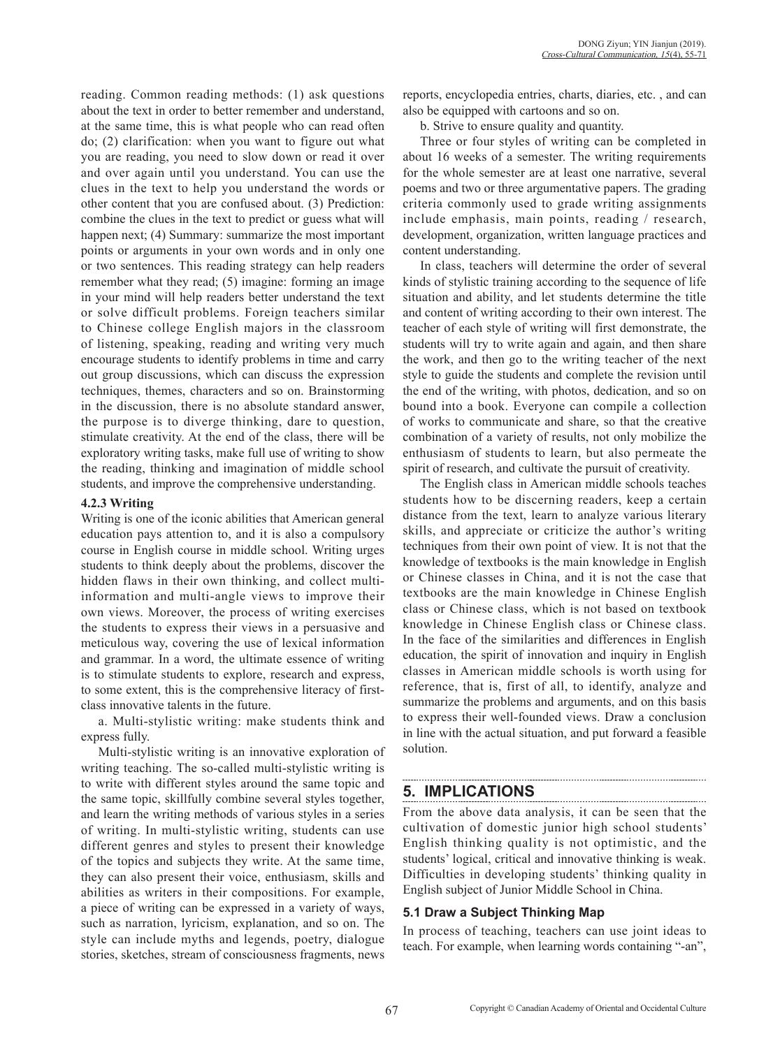reading. Common reading methods: (1) ask questions about the text in order to better remember and understand, at the same time, this is what people who can read often do; (2) clarification: when you want to figure out what you are reading, you need to slow down or read it over and over again until you understand. You can use the clues in the text to help you understand the words or other content that you are confused about. (3) Prediction: combine the clues in the text to predict or guess what will happen next; (4) Summary: summarize the most important points or arguments in your own words and in only one or two sentences. This reading strategy can help readers remember what they read; (5) imagine: forming an image in your mind will help readers better understand the text or solve difficult problems. Foreign teachers similar to Chinese college English majors in the classroom of listening, speaking, reading and writing very much encourage students to identify problems in time and carry out group discussions, which can discuss the expression techniques, themes, characters and so on. Brainstorming in the discussion, there is no absolute standard answer, the purpose is to diverge thinking, dare to question, stimulate creativity. At the end of the class, there will be exploratory writing tasks, make full use of writing to show the reading, thinking and imagination of middle school students, and improve the comprehensive understanding.

### **4.2.3 Writing**

Writing is one of the iconic abilities that American general education pays attention to, and it is also a compulsory course in English course in middle school. Writing urges students to think deeply about the problems, discover the hidden flaws in their own thinking, and collect multiinformation and multi-angle views to improve their own views. Moreover, the process of writing exercises the students to express their views in a persuasive and meticulous way, covering the use of lexical information and grammar. In a word, the ultimate essence of writing is to stimulate students to explore, research and express, to some extent, this is the comprehensive literacy of firstclass innovative talents in the future.

a. Multi-stylistic writing: make students think and express fully.

Multi-stylistic writing is an innovative exploration of writing teaching. The so-called multi-stylistic writing is to write with different styles around the same topic and the same topic, skillfully combine several styles together, and learn the writing methods of various styles in a series of writing. In multi-stylistic writing, students can use different genres and styles to present their knowledge of the topics and subjects they write. At the same time, they can also present their voice, enthusiasm, skills and abilities as writers in their compositions. For example, a piece of writing can be expressed in a variety of ways, such as narration, lyricism, explanation, and so on. The style can include myths and legends, poetry, dialogue stories, sketches, stream of consciousness fragments, news

reports, encyclopedia entries, charts, diaries, etc. , and can also be equipped with cartoons and so on.

b. Strive to ensure quality and quantity.

Three or four styles of writing can be completed in about 16 weeks of a semester. The writing requirements for the whole semester are at least one narrative, several poems and two or three argumentative papers. The grading criteria commonly used to grade writing assignments include emphasis, main points, reading / research, development, organization, written language practices and content understanding.

In class, teachers will determine the order of several kinds of stylistic training according to the sequence of life situation and ability, and let students determine the title and content of writing according to their own interest. The teacher of each style of writing will first demonstrate, the students will try to write again and again, and then share the work, and then go to the writing teacher of the next style to guide the students and complete the revision until the end of the writing, with photos, dedication, and so on bound into a book. Everyone can compile a collection of works to communicate and share, so that the creative combination of a variety of results, not only mobilize the enthusiasm of students to learn, but also permeate the spirit of research, and cultivate the pursuit of creativity.

The English class in American middle schools teaches students how to be discerning readers, keep a certain distance from the text, learn to analyze various literary skills, and appreciate or criticize the author's writing techniques from their own point of view. It is not that the knowledge of textbooks is the main knowledge in English or Chinese classes in China, and it is not the case that textbooks are the main knowledge in Chinese English class or Chinese class, which is not based on textbook knowledge in Chinese English class or Chinese class. In the face of the similarities and differences in English education, the spirit of innovation and inquiry in English classes in American middle schools is worth using for reference, that is, first of all, to identify, analyze and summarize the problems and arguments, and on this basis to express their well-founded views. Draw a conclusion in line with the actual situation, and put forward a feasible solution.

## **5. Implications**

From the above data analysis, it can be seen that the cultivation of domestic junior high school students' English thinking quality is not optimistic, and the students' logical, critical and innovative thinking is weak. Difficulties in developing students' thinking quality in English subject of Junior Middle School in China.

### **5.1 Draw a Subject Thinking Map**

In process of teaching, teachers can use joint ideas to teach. For example, when learning words containing "-an",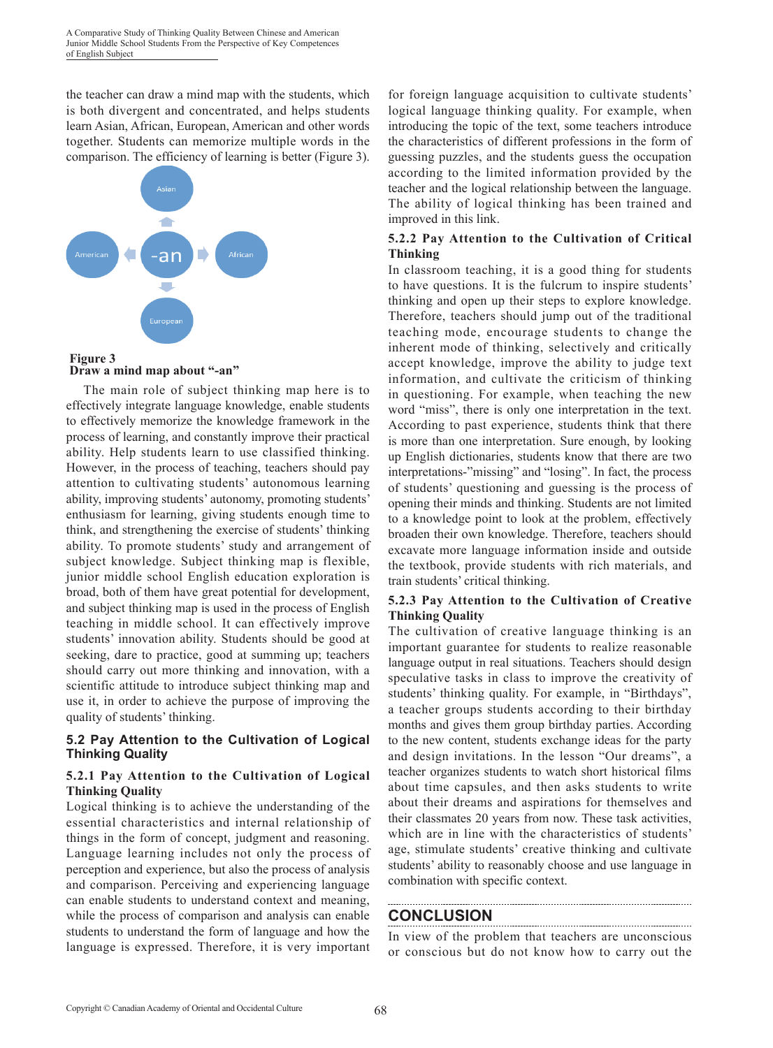the teacher can draw a mind map with the students, which is both divergent and concentrated, and helps students learn Asian, African, European, American and other words together. Students can memorize multiple words in the comparison. The efficiency of learning is better (Figure 3).



 **Draw a mind map about "-an"**

The main role of subject thinking map here is to effectively integrate language knowledge, enable students to effectively memorize the knowledge framework in the process of learning, and constantly improve their practical ability. Help students learn to use classified thinking. However, in the process of teaching, teachers should pay attention to cultivating students' autonomous learning ability, improving students' autonomy, promoting students' enthusiasm for learning, giving students enough time to think, and strengthening the exercise of students' thinking ability. To promote students' study and arrangement of subject knowledge. Subject thinking map is flexible, junior middle school English education exploration is broad, both of them have great potential for development, and subject thinking map is used in the process of English teaching in middle school. It can effectively improve students' innovation ability. Students should be good at seeking, dare to practice, good at summing up; teachers should carry out more thinking and innovation, with a scientific attitude to introduce subject thinking map and use it, in order to achieve the purpose of improving the quality of students' thinking.

### **5.2 Pay Attention to the Cultivation of Logical Thinking Quality**

### **5.2.1 Pay Attention to the Cultivation of Logical Thinking Quality**

Logical thinking is to achieve the understanding of the essential characteristics and internal relationship of things in the form of concept, judgment and reasoning. Language learning includes not only the process of perception and experience, but also the process of analysis and comparison. Perceiving and experiencing language can enable students to understand context and meaning, while the process of comparison and analysis can enable students to understand the form of language and how the language is expressed. Therefore, it is very important

for foreign language acquisition to cultivate students' logical language thinking quality. For example, when introducing the topic of the text, some teachers introduce the characteristics of different professions in the form of guessing puzzles, and the students guess the occupation according to the limited information provided by the teacher and the logical relationship between the language. The ability of logical thinking has been trained and improved in this link.

### **5.2.2 Pay Attention to the Cultivation of Critical Thinking**

In classroom teaching, it is a good thing for students to have questions. It is the fulcrum to inspire students' thinking and open up their steps to explore knowledge. Therefore, teachers should jump out of the traditional teaching mode, encourage students to change the inherent mode of thinking, selectively and critically accept knowledge, improve the ability to judge text information, and cultivate the criticism of thinking in questioning. For example, when teaching the new word "miss", there is only one interpretation in the text. According to past experience, students think that there is more than one interpretation. Sure enough, by looking up English dictionaries, students know that there are two interpretations-"missing" and "losing". In fact, the process of students' questioning and guessing is the process of opening their minds and thinking. Students are not limited to a knowledge point to look at the problem, effectively broaden their own knowledge. Therefore, teachers should excavate more language information inside and outside the textbook, provide students with rich materials, and train students' critical thinking.

### **5.2.3 Pay Attention to the Cultivation of Creative Thinking Quality**

The cultivation of creative language thinking is an important guarantee for students to realize reasonable language output in real situations. Teachers should design speculative tasks in class to improve the creativity of students' thinking quality. For example, in "Birthdays", a teacher groups students according to their birthday months and gives them group birthday parties. According to the new content, students exchange ideas for the party and design invitations. In the lesson "Our dreams", a teacher organizes students to watch short historical films about time capsules, and then asks students to write about their dreams and aspirations for themselves and their classmates 20 years from now. These task activities, which are in line with the characteristics of students' age, stimulate students' creative thinking and cultivate students' ability to reasonably choose and use language in combination with specific context.

## **CONCLUSION**

In view of the problem that teachers are unconscious or conscious but do not know how to carry out the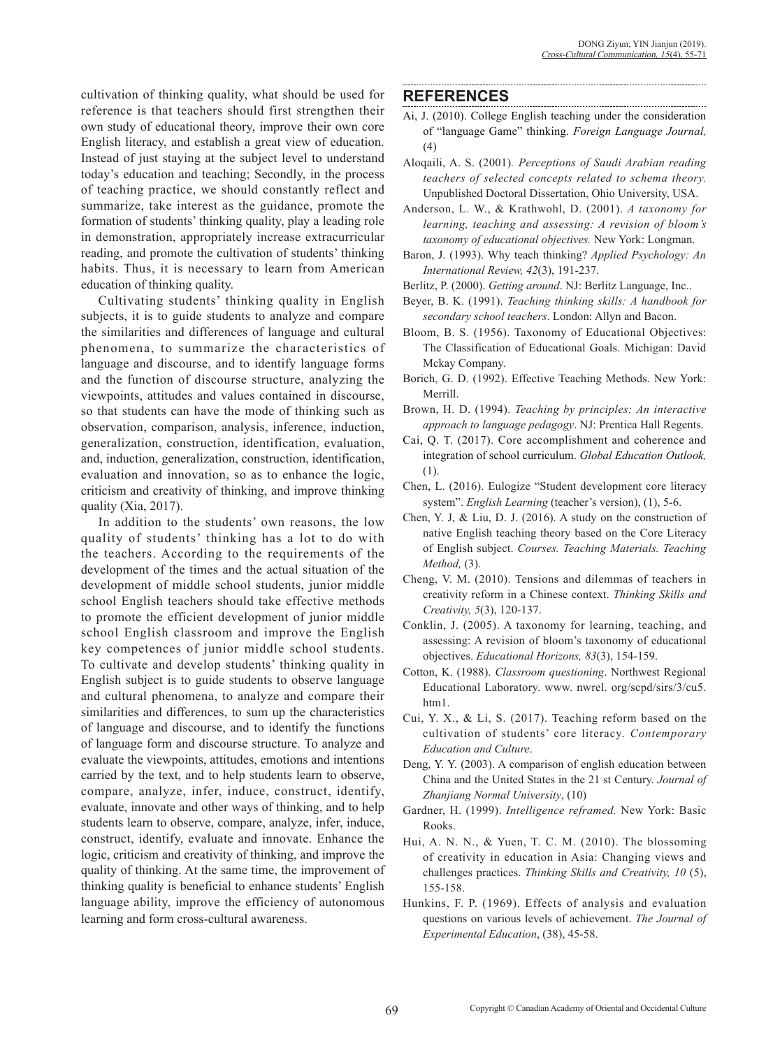cultivation of thinking quality, what should be used for reference is that teachers should first strengthen their own study of educational theory, improve their own core English literacy, and establish a great view of education. Instead of just staying at the subject level to understand today's education and teaching; Secondly, in the process of teaching practice, we should constantly reflect and summarize, take interest as the guidance, promote the formation of students' thinking quality, play a leading role in demonstration, appropriately increase extracurricular reading, and promote the cultivation of students' thinking habits. Thus, it is necessary to learn from American education of thinking quality.

Cultivating students' thinking quality in English subjects, it is to guide students to analyze and compare the similarities and differences of language and cultural phenomena, to summarize the characteristics of language and discourse, and to identify language forms and the function of discourse structure, analyzing the viewpoints, attitudes and values contained in discourse, so that students can have the mode of thinking such as observation, comparison, analysis, inference, induction, generalization, construction, identification, evaluation, and, induction, generalization, construction, identification, evaluation and innovation, so as to enhance the logic, criticism and creativity of thinking, and improve thinking quality (Xia, 2017).

In addition to the students' own reasons, the low quality of students' thinking has a lot to do with the teachers. According to the requirements of the development of the times and the actual situation of the development of middle school students, junior middle school English teachers should take effective methods to promote the efficient development of junior middle school English classroom and improve the English key competences of junior middle school students. To cultivate and develop students' thinking quality in English subject is to guide students to observe language and cultural phenomena, to analyze and compare their similarities and differences, to sum up the characteristics of language and discourse, and to identify the functions of language form and discourse structure. To analyze and evaluate the viewpoints, attitudes, emotions and intentions carried by the text, and to help students learn to observe, compare, analyze, infer, induce, construct, identify, evaluate, innovate and other ways of thinking, and to help students learn to observe, compare, analyze, infer, induce, construct, identify, evaluate and innovate. Enhance the logic, criticism and creativity of thinking, and improve the quality of thinking. At the same time, the improvement of thinking quality is beneficial to enhance students' English language ability, improve the efficiency of autonomous learning and form cross-cultural awareness.

### **REFERENCES**

- Ai, J. (2010). College English teaching under the consideration of "language Game" thinking. *Foreign Language Journal,*  (4)
- Aloqaili, A. S. (2001)*. Perceptions of Saudi Arabian reading teachers of selected concepts related to schema theory.* Unpublished Doctoral Dissertation, Ohio University, USA.
- Anderson, L. W., & Krathwohl, D. (2001). *A taxonomy for learning, teaching and assessing: A revision of bloom's taxonomy of educational objectives.* New York: Longman.
- Baron, J. (1993). Why teach thinking? *Applied Psychology: An International Review, 42*(3), 191-237.
- Berlitz, P. (2000). *Getting around*. NJ: Berlitz Language, Inc..
- Beyer, B. K. (1991). *Teaching thinking skills: A handbook for secondary school teachers*. London: Allyn and Bacon.
- Bloom, B. S. (1956). Taxonomy of Educational Objectives: The Classification of Educational Goals. Michigan: David Mckay Company.
- Borich, G. D. (1992). Effective Teaching Methods. New York: Merrill.
- Brown, H. D. (1994). *Teaching by principles: An interactive approach to language pedagogy*. NJ: Prentica Hall Regents.
- Cai, Q. T. (2017). Core accomplishment and coherence and integration of school curriculum. *Global Education Outlook,* (1).
- Chen, L. (2016). Eulogize "Student development core literacy system". *English Learning* (teacher's version), (1), 5-6.
- Chen, Y. J, & Liu, D. J. (2016). A study on the construction of native English teaching theory based on the Core Literacy of English subject. *Courses. Teaching Materials. Teaching Method,* (3).
- Cheng, V. M. (2010). Tensions and dilemmas of teachers in creativity reform in a Chinese context. *Thinking Skills and Creativity, 5*(3), 120-137.
- Conklin, J. (2005). A taxonomy for learning, teaching, and assessing: A revision of bloom's taxonomy of educational objectives. *Educational Horizons, 83*(3), 154-159.
- Cotton, K. (1988). *Classroom questioning*. Northwest Regional Educational Laboratory. www. nwrel. org/scpd/sirs/3/cu5. htm1.
- Cui, Y. X., & Li, S. (2017). Teaching reform based on the cultivation of students' core literacy. *Contemporary Education and Culture*.
- Deng, Y. Y. (2003). A comparison of english education between China and the United States in the 21 st Century. *Journal of Zhanjiang Normal University*, (10)
- Gardner, H. (1999). *Intelligence reframed.* New York: Basic Rooks.
- Hui, A. N. N., & Yuen, T. C. M. (2010). The blossoming of creativity in education in Asia: Changing views and challenges practices. *Thinking Skills and Creativity, 10* (5), 155-158.
- Hunkins, F. P. (1969). Effects of analysis and evaluation questions on various levels of achievement. *The Journal of Experimental Education*, (38), 45-58.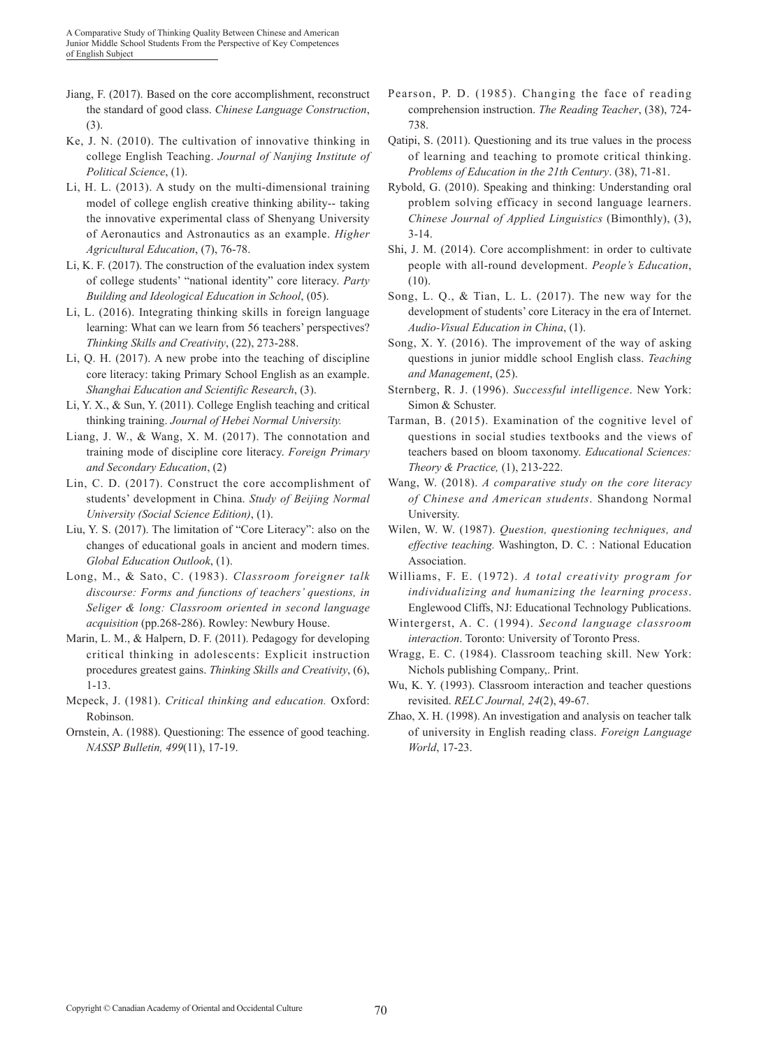- Jiang, F. (2017). Based on the core accomplishment, reconstruct the standard of good class. *Chinese Language Construction*, (3).
- Ke, J. N. (2010). The cultivation of innovative thinking in college English Teaching. *Journal of Nanjing Institute of Political Science*, (1).
- Li, H. L. (2013). A study on the multi-dimensional training model of college english creative thinking ability-- taking the innovative experimental class of Shenyang University of Aeronautics and Astronautics as an example. *Higher Agricultural Education*, (7), 76-78.
- Li, K. F. (2017). The construction of the evaluation index system of college students' "national identity" core literacy. *Party Building and Ideological Education in School*, (05).
- Li, L. (2016). Integrating thinking skills in foreign language learning: What can we learn from 56 teachers' perspectives? *Thinking Skills and Creativity*, (22), 273-288.
- Li, Q. H. (2017). A new probe into the teaching of discipline core literacy: taking Primary School English as an example. *Shanghai Education and Scientific Research*, (3).
- Li, Y. X., & Sun, Y. (2011). College English teaching and critical thinking training. *Journal of Hebei Normal University.*
- Liang, J. W., & Wang, X. M. (2017). The connotation and training mode of discipline core literacy. *Foreign Primary and Secondary Education*, (2)
- Lin, C. D. (2017). Construct the core accomplishment of students' development in China. *Study of Beijing Normal University (Social Science Edition)*, (1).
- Liu, Y. S. (2017). The limitation of "Core Literacy": also on the changes of educational goals in ancient and modern times. *Global Education Outlook*, (1).
- Long, M., & Sato, C. (1983). *Classroom foreigner talk discourse: Forms and functions of teachers' questions, in Seliger & long: Classroom oriented in second language acquisition* (pp.268-286). Rowley: Newbury House.
- Marin, L. M., & Halpern, D. F. (2011). Pedagogy for developing critical thinking in adolescents: Explicit instruction procedures greatest gains. *Thinking Skills and Creativity*, (6), 1-13.
- Mcpeck, J. (1981). *Critical thinking and education.* Oxford: Robinson.
- Ornstein, A. (1988). Questioning: The essence of good teaching. *NASSP Bulletin, 499*(11), 17-19.
- Pearson, P. D. (1985). Changing the face of reading comprehension instruction. *The Reading Teacher*, (38), 724- 738.
- Qatipi, S. (2011). Questioning and its true values in the process of learning and teaching to promote critical thinking. *Problems of Education in the 21th Century*. (38), 71-81.
- Rybold, G. (2010). Speaking and thinking: Understanding oral problem solving efficacy in second language learners. *Chinese Journal of Applied Linguistics* (Bimonthly), (3), 3-14.
- Shi, J. M. (2014). Core accomplishment: in order to cultivate people with all-round development. *People's Education*, (10).
- Song, L. Q., & Tian, L. L. (2017). The new way for the development of students' core Literacy in the era of Internet. *Audio-Visual Education in China*, (1).
- Song, X. Y. (2016). The improvement of the way of asking questions in junior middle school English class. *Teaching and Management*, (25).
- Sternberg, R. J. (1996). *Successful intelligence*. New York: Simon & Schuster.
- Tarman, B. (2015). Examination of the cognitive level of questions in social studies textbooks and the views of teachers based on bloom taxonomy. *Educational Sciences: Theory & Practice,* (1), 213-222.
- Wang, W. (2018). *A comparative study on the core literacy of Chinese and American students*. Shandong Normal University.
- Wilen, W. W. (1987). *Question, questioning techniques, and effective teaching.* Washington, D. C. : National Education Association.
- Williams, F. E. (1972). *A total creativity program for individualizing and humanizing the learning process*. Englewood Cliffs, NJ: Educational Technology Publications.
- Wintergerst, A. C. (1994). *Second language classroom interaction*. Toronto: University of Toronto Press.
- Wragg, E. C. (1984). Classroom teaching skill. New York: Nichols publishing Company,. Print.
- Wu, K. Y. (1993). Classroom interaction and teacher questions revisited. *RELC Journal, 24*(2), 49-67.
- Zhao, X. H. (1998). An investigation and analysis on teacher talk of university in English reading class. *Foreign Language World*, 17-23.